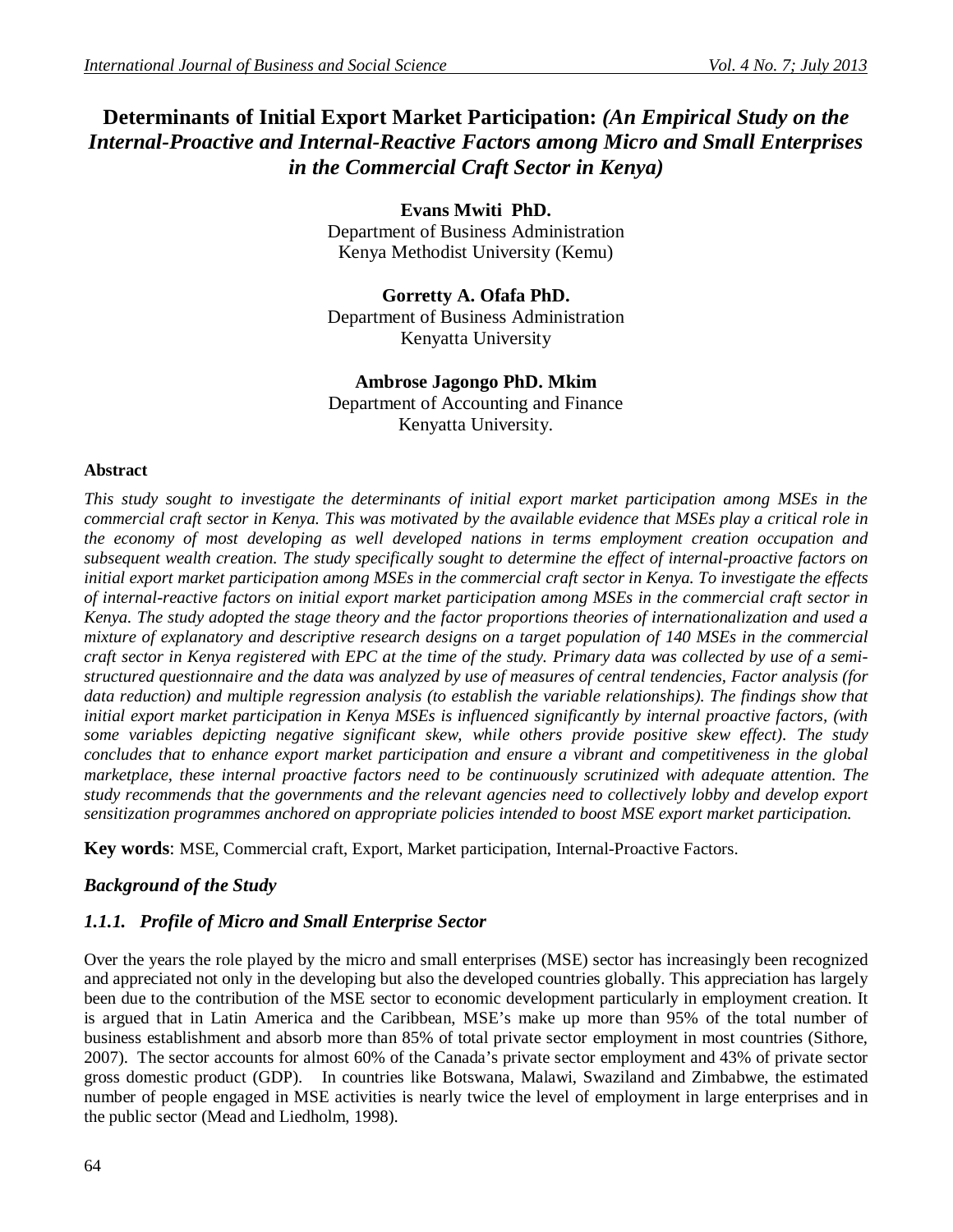# **Determinants of Initial Export Market Participation:** *(An Empirical Study on the Internal-Proactive and Internal-Reactive Factors among Micro and Small Enterprises in the Commercial Craft Sector in Kenya)*

**Evans Mwiti PhD.** Department of Business Administration Kenya Methodist University (Kemu)

**Gorretty A. Ofafa PhD.** Department of Business Administration Kenyatta University

### **Ambrose Jagongo PhD. Mkim**

Department of Accounting and Finance Kenyatta University.

#### **Abstract**

*This study sought to investigate the determinants of initial export market participation among MSEs in the commercial craft sector in Kenya. This was motivated by the available evidence that MSEs play a critical role in the economy of most developing as well developed nations in terms employment creation occupation and subsequent wealth creation. The study specifically sought to determine the effect of internal-proactive factors on initial export market participation among MSEs in the commercial craft sector in Kenya. To investigate the effects of internal-reactive factors on initial export market participation among MSEs in the commercial craft sector in Kenya. The study adopted the stage theory and the factor proportions theories of internationalization and used a mixture of explanatory and descriptive research designs on a target population of 140 MSEs in the commercial craft sector in Kenya registered with EPC at the time of the study. Primary data was collected by use of a semistructured questionnaire and the data was analyzed by use of measures of central tendencies, Factor analysis (for data reduction) and multiple regression analysis (to establish the variable relationships). The findings show that initial export market participation in Kenya MSEs is influenced significantly by internal proactive factors, (with some variables depicting negative significant skew, while others provide positive skew effect). The study concludes that to enhance export market participation and ensure a vibrant and competitiveness in the global marketplace, these internal proactive factors need to be continuously scrutinized with adequate attention. The study recommends that the governments and the relevant agencies need to collectively lobby and develop export sensitization programmes anchored on appropriate policies intended to boost MSE export market participation.*

**Key words**: MSE, Commercial craft, Export, Market participation, Internal-Proactive Factors.

### *Background of the Study*

# *1.1.1. Profile of Micro and Small Enterprise Sector*

Over the years the role played by the micro and small enterprises (MSE) sector has increasingly been recognized and appreciated not only in the developing but also the developed countries globally. This appreciation has largely been due to the contribution of the MSE sector to economic development particularly in employment creation. It is argued that in Latin America and the Caribbean, MSE's make up more than 95% of the total number of business establishment and absorb more than 85% of total private sector employment in most countries (Sithore, 2007). The sector accounts for almost 60% of the Canada's private sector employment and 43% of private sector gross domestic product (GDP). In countries like Botswana, Malawi, Swaziland and Zimbabwe, the estimated number of people engaged in MSE activities is nearly twice the level of employment in large enterprises and in the public sector (Mead and Liedholm, 1998).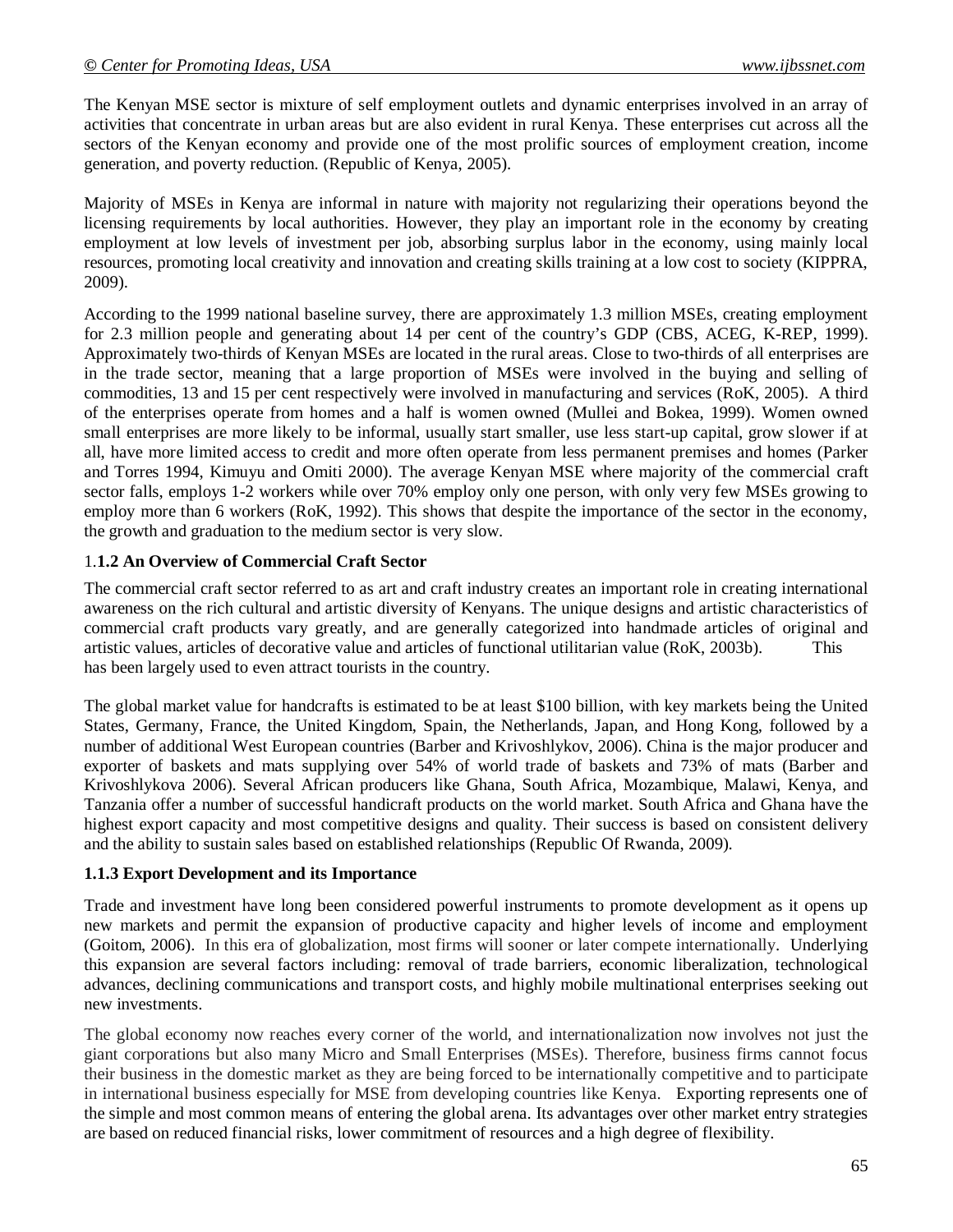The Kenyan MSE sector is mixture of self employment outlets and dynamic enterprises involved in an array of activities that concentrate in urban areas but are also evident in rural Kenya. These enterprises cut across all the sectors of the Kenyan economy and provide one of the most prolific sources of employment creation, income generation, and poverty reduction. (Republic of Kenya, 2005).

Majority of MSEs in Kenya are informal in nature with majority not regularizing their operations beyond the licensing requirements by local authorities. However, they play an important role in the economy by creating employment at low levels of investment per job, absorbing surplus labor in the economy, using mainly local resources, promoting local creativity and innovation and creating skills training at a low cost to society (KIPPRA, 2009).

According to the 1999 national baseline survey, there are approximately 1.3 million MSEs, creating employment for 2.3 million people and generating about 14 per cent of the country's GDP (CBS, ACEG, K-REP, 1999). Approximately two-thirds of Kenyan MSEs are located in the rural areas. Close to two-thirds of all enterprises are in the trade sector, meaning that a large proportion of MSEs were involved in the buying and selling of commodities, 13 and 15 per cent respectively were involved in manufacturing and services (RoK, 2005). A third of the enterprises operate from homes and a half is women owned (Mullei and Bokea, 1999). Women owned small enterprises are more likely to be informal, usually start smaller, use less start-up capital, grow slower if at all, have more limited access to credit and more often operate from less permanent premises and homes (Parker and Torres 1994, Kimuyu and Omiti 2000). The average Kenyan MSE where majority of the commercial craft sector falls, employs 1-2 workers while over 70% employ only one person, with only very few MSEs growing to employ more than 6 workers (RoK, 1992). This shows that despite the importance of the sector in the economy, the growth and graduation to the medium sector is very slow.

#### 1.**1.2 An Overview of Commercial Craft Sector**

The commercial craft sector referred to as art and craft industry creates an important role in creating international awareness on the rich cultural and artistic diversity of Kenyans. The unique designs and artistic characteristics of commercial craft products vary greatly, and are generally categorized into handmade articles of original and artistic values, articles of decorative value and articles of functional utilitarian value (RoK, 2003b). This has been largely used to even attract tourists in the country.

The global market value for handcrafts is estimated to be at least \$100 billion, with key markets being the United States, Germany, France, the United Kingdom, Spain, the Netherlands, Japan, and Hong Kong, followed by a number of additional West European countries (Barber and Krivoshlykov, 2006). China is the major producer and exporter of baskets and mats supplying over 54% of world trade of baskets and 73% of mats (Barber and Krivoshlykova 2006). Several African producers like Ghana, South Africa, Mozambique, Malawi, Kenya, and Tanzania offer a number of successful handicraft products on the world market. South Africa and Ghana have the highest export capacity and most competitive designs and quality. Their success is based on consistent delivery and the ability to sustain sales based on established relationships (Republic Of Rwanda, 2009).

#### **1.1.3 Export Development and its Importance**

Trade and investment have long been considered powerful instruments to promote development as it opens up new markets and permit the expansion of productive capacity and higher levels of income and employment (Goitom, 2006). In this era of globalization, most firms will sooner or later compete internationally. Underlying this expansion are several factors including: removal of trade barriers, economic liberalization, technological advances, declining communications and transport costs, and highly mobile multinational enterprises seeking out new investments.

The global economy now reaches every corner of the world, and internationalization now involves not just the giant corporations but also many Micro and Small Enterprises (MSEs). Therefore, business firms cannot focus their business in the domestic market as they are being forced to be internationally competitive and to participate in international business especially for MSE from developing countries like Kenya. Exporting represents one of the simple and most common means of entering the global arena. Its advantages over other market entry strategies are based on reduced financial risks, lower commitment of resources and a high degree of flexibility.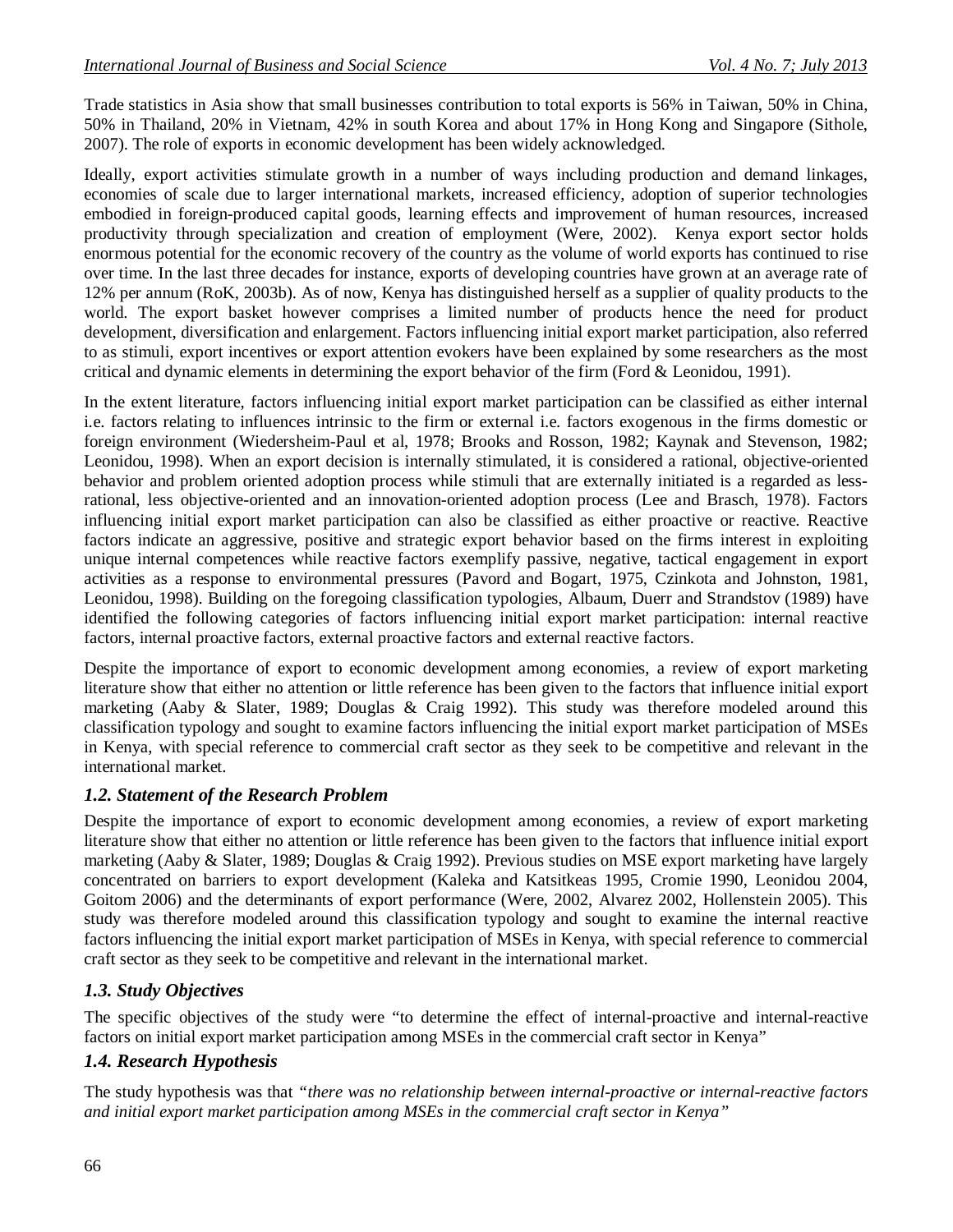Trade statistics in Asia show that small businesses contribution to total exports is 56% in Taiwan, 50% in China, 50% in Thailand, 20% in Vietnam, 42% in south Korea and about 17% in Hong Kong and Singapore (Sithole, 2007). The role of exports in economic development has been widely acknowledged.

Ideally, export activities stimulate growth in a number of ways including production and demand linkages, economies of scale due to larger international markets, increased efficiency, adoption of superior technologies embodied in foreign-produced capital goods, learning effects and improvement of human resources, increased productivity through specialization and creation of employment (Were, 2002). Kenya export sector holds enormous potential for the economic recovery of the country as the volume of world exports has continued to rise over time. In the last three decades for instance, exports of developing countries have grown at an average rate of 12% per annum (RoK, 2003b). As of now, Kenya has distinguished herself as a supplier of quality products to the world. The export basket however comprises a limited number of products hence the need for product development, diversification and enlargement. Factors influencing initial export market participation, also referred to as stimuli, export incentives or export attention evokers have been explained by some researchers as the most critical and dynamic elements in determining the export behavior of the firm (Ford & Leonidou, 1991).

In the extent literature, factors influencing initial export market participation can be classified as either internal i.e. factors relating to influences intrinsic to the firm or external i.e. factors exogenous in the firms domestic or foreign environment (Wiedersheim-Paul et al, 1978; Brooks and Rosson, 1982; Kaynak and Stevenson, 1982; Leonidou, 1998). When an export decision is internally stimulated, it is considered a rational, objective-oriented behavior and problem oriented adoption process while stimuli that are externally initiated is a regarded as lessrational, less objective-oriented and an innovation-oriented adoption process (Lee and Brasch, 1978). Factors influencing initial export market participation can also be classified as either proactive or reactive. Reactive factors indicate an aggressive, positive and strategic export behavior based on the firms interest in exploiting unique internal competences while reactive factors exemplify passive, negative, tactical engagement in export activities as a response to environmental pressures (Pavord and Bogart, 1975, Czinkota and Johnston, 1981, Leonidou, 1998). Building on the foregoing classification typologies, Albaum, Duerr and Strandstov (1989) have identified the following categories of factors influencing initial export market participation: internal reactive factors, internal proactive factors, external proactive factors and external reactive factors.

Despite the importance of export to economic development among economies, a review of export marketing literature show that either no attention or little reference has been given to the factors that influence initial export marketing (Aaby & Slater, 1989; Douglas & Craig 1992). This study was therefore modeled around this classification typology and sought to examine factors influencing the initial export market participation of MSEs in Kenya, with special reference to commercial craft sector as they seek to be competitive and relevant in the international market.

#### *1.2. Statement of the Research Problem*

Despite the importance of export to economic development among economies, a review of export marketing literature show that either no attention or little reference has been given to the factors that influence initial export marketing (Aaby & Slater, 1989; Douglas & Craig 1992). Previous studies on MSE export marketing have largely concentrated on barriers to export development (Kaleka and Katsitkeas 1995, Cromie 1990, Leonidou 2004, Goitom 2006) and the determinants of export performance (Were, 2002, Alvarez 2002, Hollenstein 2005). This study was therefore modeled around this classification typology and sought to examine the internal reactive factors influencing the initial export market participation of MSEs in Kenya, with special reference to commercial craft sector as they seek to be competitive and relevant in the international market.

#### *1.3. Study Objectives*

The specific objectives of the study were "to determine the effect of internal-proactive and internal-reactive factors on initial export market participation among MSEs in the commercial craft sector in Kenya"

### *1.4. Research Hypothesis*

The study hypothesis was that *"there was no relationship between internal-proactive or internal-reactive factors and initial export market participation among MSEs in the commercial craft sector in Kenya"*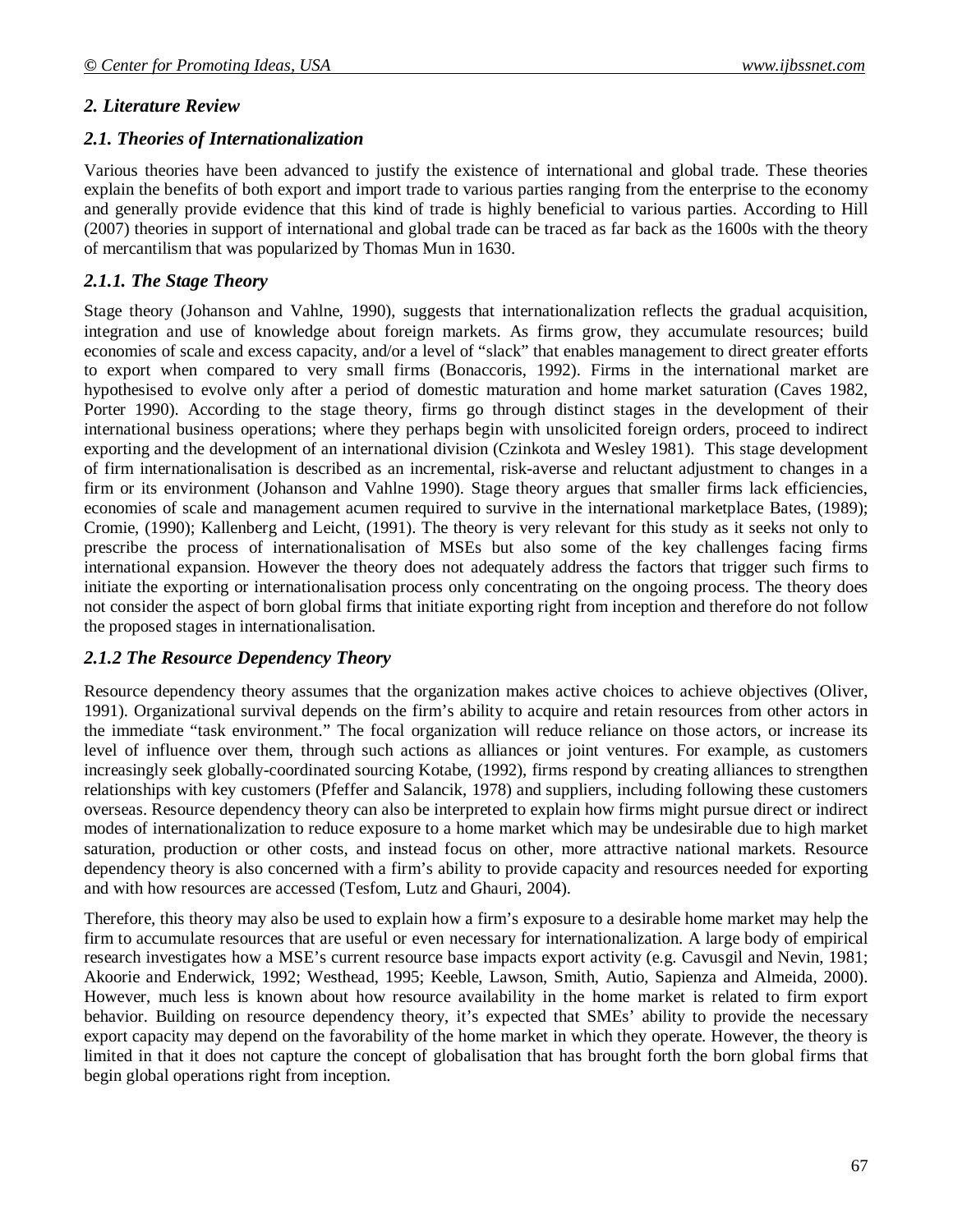#### *2. Literature Review*

#### *2.1. Theories of Internationalization*

Various theories have been advanced to justify the existence of international and global trade. These theories explain the benefits of both export and import trade to various parties ranging from the enterprise to the economy and generally provide evidence that this kind of trade is highly beneficial to various parties. According to Hill (2007) theories in support of international and global trade can be traced as far back as the 1600s with the theory of mercantilism that was popularized by Thomas Mun in 1630.

#### *2.1.1. The Stage Theory*

Stage theory (Johanson and Vahlne, 1990), suggests that internationalization reflects the gradual acquisition, integration and use of knowledge about foreign markets. As firms grow, they accumulate resources; build economies of scale and excess capacity, and/or a level of "slack" that enables management to direct greater efforts to export when compared to very small firms (Bonaccoris, 1992). Firms in the international market are hypothesised to evolve only after a period of domestic maturation and home market saturation (Caves 1982, Porter 1990). According to the stage theory, firms go through distinct stages in the development of their international business operations; where they perhaps begin with unsolicited foreign orders, proceed to indirect exporting and the development of an international division (Czinkota and Wesley 1981). This stage development of firm internationalisation is described as an incremental, risk-averse and reluctant adjustment to changes in a firm or its environment (Johanson and Vahlne 1990). Stage theory argues that smaller firms lack efficiencies, economies of scale and management acumen required to survive in the international marketplace Bates, (1989); Cromie, (1990); Kallenberg and Leicht, (1991). The theory is very relevant for this study as it seeks not only to prescribe the process of internationalisation of MSEs but also some of the key challenges facing firms international expansion. However the theory does not adequately address the factors that trigger such firms to initiate the exporting or internationalisation process only concentrating on the ongoing process. The theory does not consider the aspect of born global firms that initiate exporting right from inception and therefore do not follow the proposed stages in internationalisation.

#### *2.1.2 The Resource Dependency Theory*

Resource dependency theory assumes that the organization makes active choices to achieve objectives (Oliver, 1991). Organizational survival depends on the firm's ability to acquire and retain resources from other actors in the immediate "task environment." The focal organization will reduce reliance on those actors, or increase its level of influence over them, through such actions as alliances or joint ventures. For example, as customers increasingly seek globally-coordinated sourcing Kotabe, (1992), firms respond by creating alliances to strengthen relationships with key customers (Pfeffer and Salancik, 1978) and suppliers, including following these customers overseas. Resource dependency theory can also be interpreted to explain how firms might pursue direct or indirect modes of internationalization to reduce exposure to a home market which may be undesirable due to high market saturation, production or other costs, and instead focus on other, more attractive national markets. Resource dependency theory is also concerned with a firm's ability to provide capacity and resources needed for exporting and with how resources are accessed (Tesfom, Lutz and Ghauri, 2004).

Therefore, this theory may also be used to explain how a firm's exposure to a desirable home market may help the firm to accumulate resources that are useful or even necessary for internationalization. A large body of empirical research investigates how a MSE's current resource base impacts export activity (e.g. Cavusgil and Nevin, 1981; Akoorie and Enderwick, 1992; Westhead, 1995; Keeble, Lawson, Smith, Autio, Sapienza and Almeida, 2000). However, much less is known about how resource availability in the home market is related to firm export behavior. Building on resource dependency theory, it's expected that SMEs' ability to provide the necessary export capacity may depend on the favorability of the home market in which they operate. However, the theory is limited in that it does not capture the concept of globalisation that has brought forth the born global firms that begin global operations right from inception.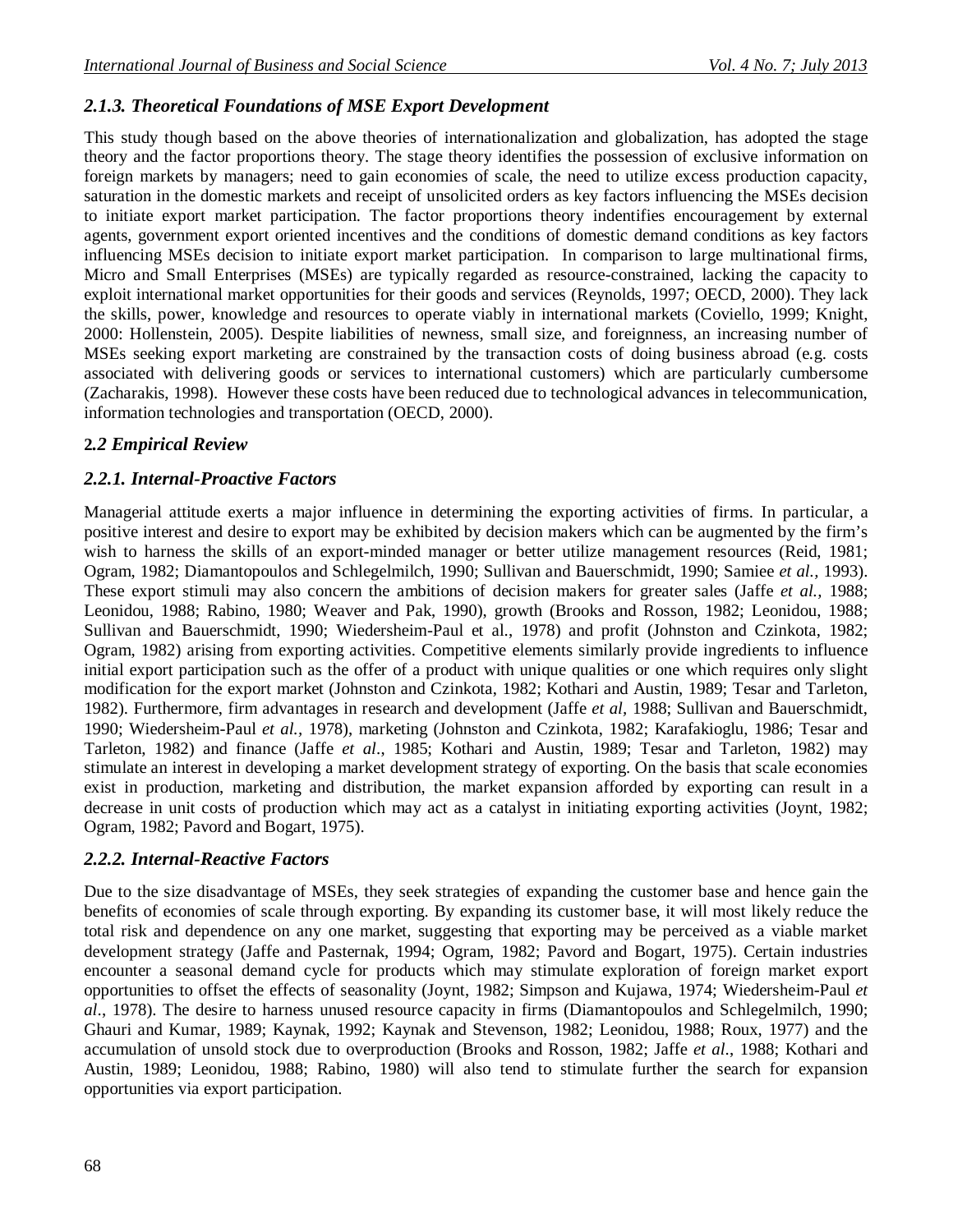### *2.1.3. Theoretical Foundations of MSE Export Development*

This study though based on the above theories of internationalization and globalization, has adopted the stage theory and the factor proportions theory. The stage theory identifies the possession of exclusive information on foreign markets by managers; need to gain economies of scale, the need to utilize excess production capacity, saturation in the domestic markets and receipt of unsolicited orders as key factors influencing the MSEs decision to initiate export market participation. The factor proportions theory indentifies encouragement by external agents, government export oriented incentives and the conditions of domestic demand conditions as key factors influencing MSEs decision to initiate export market participation. In comparison to large multinational firms, Micro and Small Enterprises (MSEs) are typically regarded as resource-constrained, lacking the capacity to exploit international market opportunities for their goods and services (Reynolds, 1997; OECD, 2000). They lack the skills, power, knowledge and resources to operate viably in international markets (Coviello, 1999; Knight, 2000: Hollenstein, 2005). Despite liabilities of newness, small size, and foreignness, an increasing number of MSEs seeking export marketing are constrained by the transaction costs of doing business abroad (e.g. costs associated with delivering goods or services to international customers) which are particularly cumbersome (Zacharakis, 1998). However these costs have been reduced due to technological advances in telecommunication, information technologies and transportation (OECD, 2000).

### **2***.2 Empirical Review*

### *2.2.1. Internal-Proactive Factors*

Managerial attitude exerts a major influence in determining the exporting activities of firms. In particular, a positive interest and desire to export may be exhibited by decision makers which can be augmented by the firm's wish to harness the skills of an export-minded manager or better utilize management resources (Reid, 1981; Ogram, 1982; Diamantopoulos and Schlegelmilch, 1990; Sullivan and Bauerschmidt, 1990; Samiee *et al.,* 1993). These export stimuli may also concern the ambitions of decision makers for greater sales (Jaffe *et al.,* 1988; Leonidou, 1988; Rabino, 1980; Weaver and Pak, 1990), growth (Brooks and Rosson, 1982; Leonidou, 1988; Sullivan and Bauerschmidt, 1990; Wiedersheim-Paul et al., 1978) and profit (Johnston and Czinkota, 1982; Ogram, 1982) arising from exporting activities. Competitive elements similarly provide ingredients to influence initial export participation such as the offer of a product with unique qualities or one which requires only slight modification for the export market (Johnston and Czinkota, 1982; Kothari and Austin, 1989; Tesar and Tarleton, 1982). Furthermore, firm advantages in research and development (Jaffe *et al,* 1988; Sullivan and Bauerschmidt, 1990; Wiedersheim-Paul *et al.,* 1978), marketing (Johnston and Czinkota, 1982; Karafakioglu, 1986; Tesar and Tarleton, 1982) and finance (Jaffe *et al*., 1985; Kothari and Austin, 1989; Tesar and Tarleton, 1982) may stimulate an interest in developing a market development strategy of exporting. On the basis that scale economies exist in production, marketing and distribution, the market expansion afforded by exporting can result in a decrease in unit costs of production which may act as a catalyst in initiating exporting activities (Joynt, 1982; Ogram, 1982; Pavord and Bogart, 1975).

#### *2.2.2. Internal-Reactive Factors*

Due to the size disadvantage of MSEs, they seek strategies of expanding the customer base and hence gain the benefits of economies of scale through exporting. By expanding its customer base, it will most likely reduce the total risk and dependence on any one market, suggesting that exporting may be perceived as a viable market development strategy (Jaffe and Pasternak, 1994; Ogram, 1982; Pavord and Bogart, 1975). Certain industries encounter a seasonal demand cycle for products which may stimulate exploration of foreign market export opportunities to offset the effects of seasonality (Joynt, 1982; Simpson and Kujawa, 1974; Wiedersheim-Paul *et al*., 1978). The desire to harness unused resource capacity in firms (Diamantopoulos and Schlegelmilch, 1990; Ghauri and Kumar, 1989; Kaynak, 1992; Kaynak and Stevenson, 1982; Leonidou, 1988; Roux, 1977) and the accumulation of unsold stock due to overproduction (Brooks and Rosson, 1982; Jaffe *et al*., 1988; Kothari and Austin, 1989; Leonidou, 1988; Rabino, 1980) will also tend to stimulate further the search for expansion opportunities via export participation.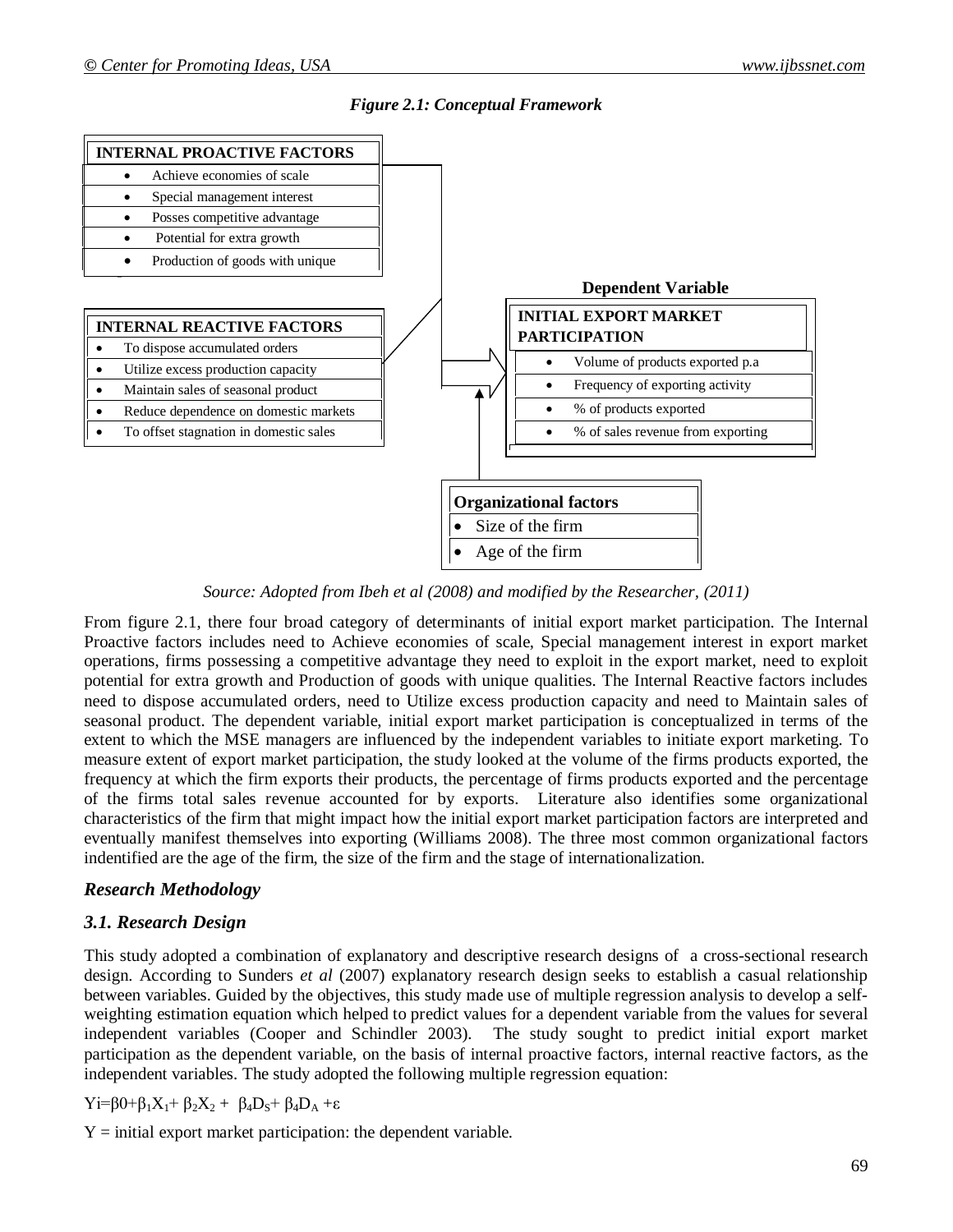



*Source: Adopted from Ibeh et al (2008) and modified by the Researcher, (2011)*

From figure 2.1, there four broad category of determinants of initial export market participation. The Internal Proactive factors includes need to Achieve economies of scale, Special management interest in export market operations, firms possessing a competitive advantage they need to exploit in the export market, need to exploit potential for extra growth and Production of goods with unique qualities. The Internal Reactive factors includes need to dispose accumulated orders, need to Utilize excess production capacity and need to Maintain sales of seasonal product. The dependent variable, initial export market participation is conceptualized in terms of the extent to which the MSE managers are influenced by the independent variables to initiate export marketing. To measure extent of export market participation, the study looked at the volume of the firms products exported, the frequency at which the firm exports their products, the percentage of firms products exported and the percentage of the firms total sales revenue accounted for by exports. Literature also identifies some organizational characteristics of the firm that might impact how the initial export market participation factors are interpreted and eventually manifest themselves into exporting (Williams 2008). The three most common organizational factors indentified are the age of the firm, the size of the firm and the stage of internationalization.

#### *Research Methodology*

### *3.1. Research Design*

This study adopted a combination of explanatory and descriptive research designs of a cross-sectional research design. According to Sunders *et al* (2007) explanatory research design seeks to establish a casual relationship between variables. Guided by the objectives, this study made use of multiple regression analysis to develop a selfweighting estimation equation which helped to predict values for a dependent variable from the values for several independent variables (Cooper and Schindler 2003). The study sought to predict initial export market participation as the dependent variable, on the basis of internal proactive factors, internal reactive factors, as the independent variables. The study adopted the following multiple regression equation:

Yi=β0+β<sub>1</sub>X<sub>1</sub>+ β<sub>2</sub>X<sub>2</sub> + β<sub>4</sub>D<sub>S</sub>+ β<sub>4</sub>D<sub>A</sub> +ε

 $Y =$  initial export market participation: the dependent variable.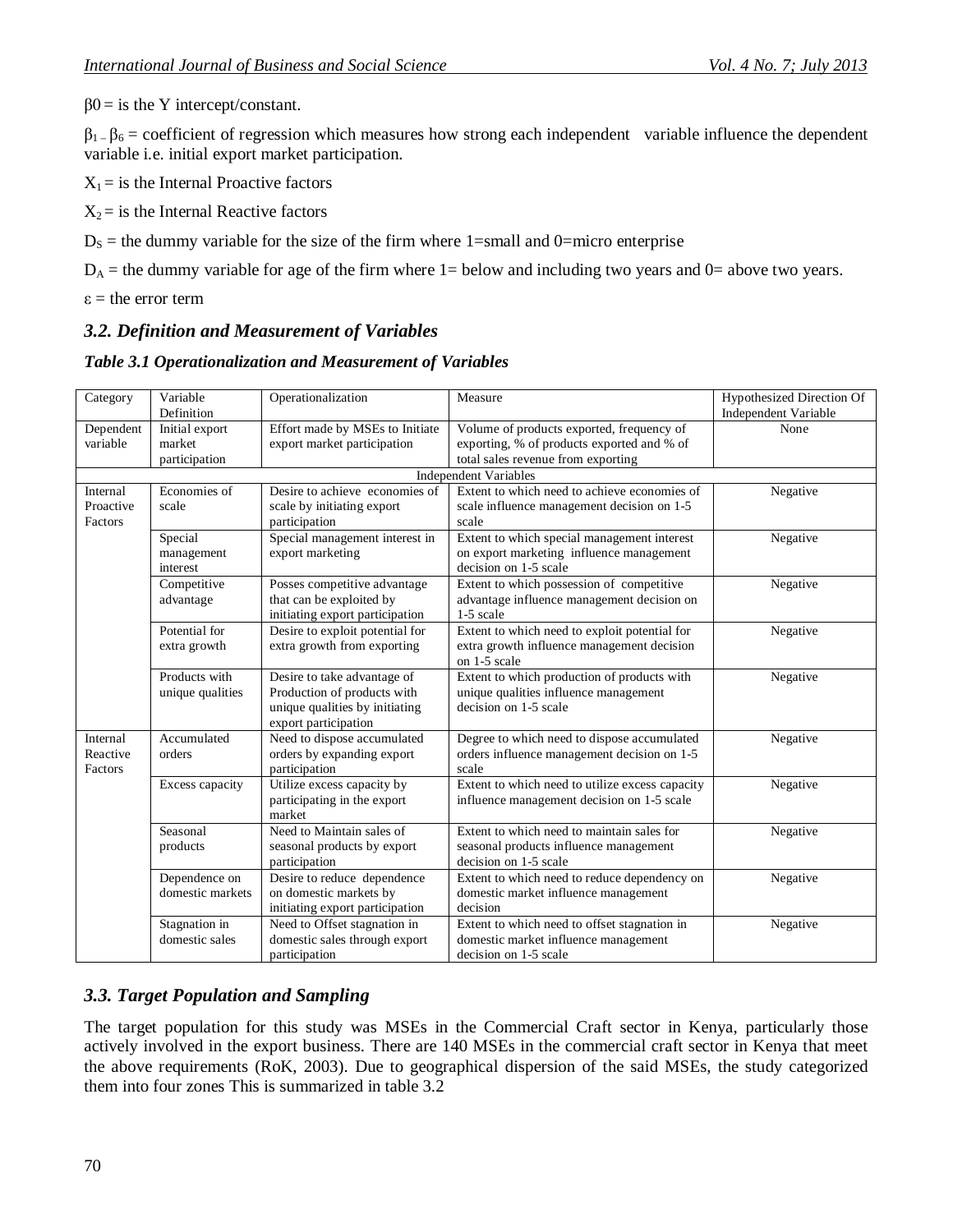$β0 =$  is the Y intercept/constant.

 $\beta_1$  –  $\beta_6$  = coefficient of regression which measures how strong each independent variable influence the dependent variable i.e. initial export market participation.

 $X_1$  = is the Internal Proactive factors

 $X_2$  = is the Internal Reactive factors

 $D<sub>S</sub>$  = the dummy variable for the size of the firm where 1=small and 0=micro enterprise

 $D_A$  = the dummy variable for age of the firm where 1 = below and including two years and 0 = above two years.

 $\varepsilon$  = the error term

### *3.2. Definition and Measurement of Variables*

*Table 3.1 Operationalization and Measurement of Variables*

| Category  | Variable         | Operationalization              | Measure                                         | Hypothesized Direction Of |
|-----------|------------------|---------------------------------|-------------------------------------------------|---------------------------|
|           | Definition       |                                 |                                                 | Independent Variable      |
| Dependent | Initial export   | Effort made by MSEs to Initiate | Volume of products exported, frequency of       | None                      |
| variable  | market           | export market participation     | exporting, % of products exported and % of      |                           |
|           | participation    |                                 | total sales revenue from exporting              |                           |
|           |                  |                                 | Independent Variables                           |                           |
| Internal  | Economies of     | Desire to achieve economies of  | Extent to which need to achieve economies of    | Negative                  |
| Proactive | scale            | scale by initiating export      | scale influence management decision on 1-5      |                           |
| Factors   |                  | participation                   | scale                                           |                           |
|           | Special          | Special management interest in  | Extent to which special management interest     | Negative                  |
|           | management       | export marketing                | on export marketing influence management        |                           |
|           | interest         |                                 | decision on 1-5 scale                           |                           |
|           | Competitive      | Posses competitive advantage    | Extent to which possession of competitive       | Negative                  |
|           | advantage        | that can be exploited by        | advantage influence management decision on      |                           |
|           |                  | initiating export participation | 1-5 scale                                       |                           |
|           | Potential for    | Desire to exploit potential for | Extent to which need to exploit potential for   | Negative                  |
|           | extra growth     | extra growth from exporting     | extra growth influence management decision      |                           |
|           |                  |                                 | on 1-5 scale                                    |                           |
|           | Products with    | Desire to take advantage of     | Extent to which production of products with     | Negative                  |
|           | unique qualities | Production of products with     | unique qualities influence management           |                           |
|           |                  | unique qualities by initiating  | decision on 1-5 scale                           |                           |
|           |                  | export participation            |                                                 |                           |
| Internal  | Accumulated      | Need to dispose accumulated     | Degree to which need to dispose accumulated     | Negative                  |
| Reactive  | orders           | orders by expanding export      | orders influence management decision on 1-5     |                           |
| Factors   |                  | participation                   | scale                                           |                           |
|           | Excess capacity  | Utilize excess capacity by      | Extent to which need to utilize excess capacity | Negative                  |
|           |                  | participating in the export     | influence management decision on 1-5 scale      |                           |
|           |                  | market                          |                                                 |                           |
|           | Seasonal         | Need to Maintain sales of       | Extent to which need to maintain sales for      | Negative                  |
|           | products         | seasonal products by export     | seasonal products influence management          |                           |
|           |                  | participation                   | decision on 1-5 scale                           |                           |
|           | Dependence on    | Desire to reduce dependence     | Extent to which need to reduce dependency on    | Negative                  |
|           | domestic markets | on domestic markets by          | domestic market influence management            |                           |
|           |                  | initiating export participation | decision                                        |                           |
|           | Stagnation in    | Need to Offset stagnation in    | Extent to which need to offset stagnation in    | Negative                  |
|           | domestic sales   | domestic sales through export   | domestic market influence management            |                           |
|           |                  | participation                   | decision on 1-5 scale                           |                           |

### *3.3. Target Population and Sampling*

The target population for this study was MSEs in the Commercial Craft sector in Kenya, particularly those actively involved in the export business. There are 140 MSEs in the commercial craft sector in Kenya that meet the above requirements (RoK, 2003). Due to geographical dispersion of the said MSEs, the study categorized them into four zones This is summarized in table 3.2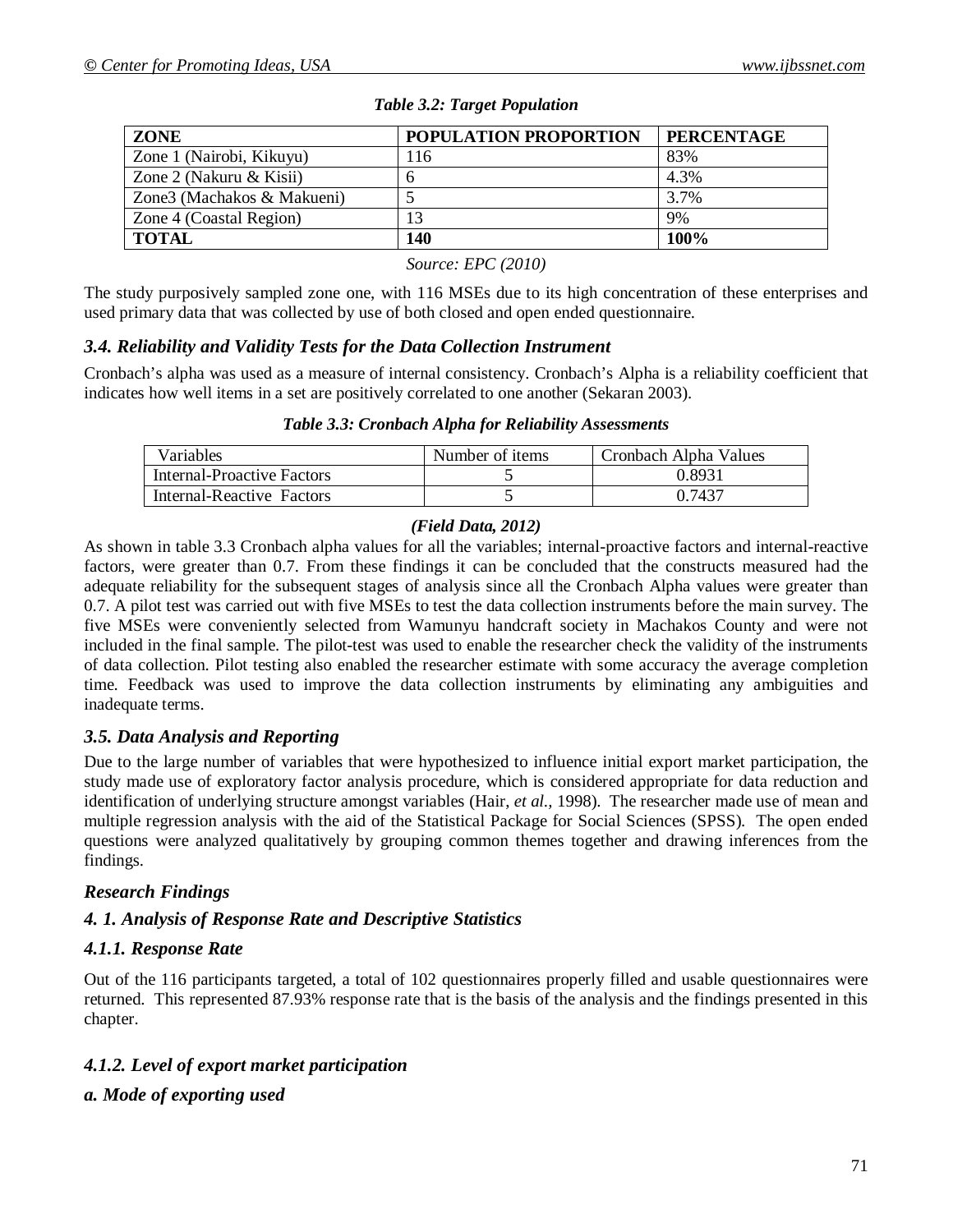| ZONE                       | <b>POPULATION PROPORTION</b> | <b>PERCENTAGE</b> |
|----------------------------|------------------------------|-------------------|
| Zone 1 (Nairobi, Kikuyu)   | 116                          | 83%               |
| Zone 2 (Nakuru & Kisii)    | h                            | 4.3%              |
| Zone3 (Machakos & Makueni) |                              | 3.7%              |
| Zone 4 (Coastal Region)    | 13                           | 9%                |
| <b>TOTAL</b>               | 140                          | 100%              |

*Table 3.2: Target Population*

#### *Source: EPC (2010)*

The study purposively sampled zone one, with 116 MSEs due to its high concentration of these enterprises and used primary data that was collected by use of both closed and open ended questionnaire.

### *3.4. Reliability and Validity Tests for the Data Collection Instrument*

Cronbach's alpha was used as a measure of internal consistency. Cronbach's Alpha is a reliability coefficient that indicates how well items in a set are positively correlated to one another (Sekaran 2003).

| Variables                  | Number of items | Cronbach Alpha Values |
|----------------------------|-----------------|-----------------------|
| Internal-Proactive Factors |                 | 0.8931                |
| Internal-Reactive Factors  |                 | 0.7437                |

### *(Field Data, 2012)*

As shown in table 3.3 Cronbach alpha values for all the variables; internal-proactive factors and internal-reactive factors, were greater than 0.7. From these findings it can be concluded that the constructs measured had the adequate reliability for the subsequent stages of analysis since all the Cronbach Alpha values were greater than 0.7. A pilot test was carried out with five MSEs to test the data collection instruments before the main survey. The five MSEs were conveniently selected from Wamunyu handcraft society in Machakos County and were not included in the final sample. The pilot-test was used to enable the researcher check the validity of the instruments of data collection. Pilot testing also enabled the researcher estimate with some accuracy the average completion time. Feedback was used to improve the data collection instruments by eliminating any ambiguities and inadequate terms.

### *3.5. Data Analysis and Reporting*

Due to the large number of variables that were hypothesized to influence initial export market participation, the study made use of exploratory factor analysis procedure, which is considered appropriate for data reduction and identification of underlying structure amongst variables (Hair, *et al.,* 1998). The researcher made use of mean and multiple regression analysis with the aid of the Statistical Package for Social Sciences (SPSS). The open ended questions were analyzed qualitatively by grouping common themes together and drawing inferences from the findings.

### *Research Findings*

### *4. 1. Analysis of Response Rate and Descriptive Statistics*

### *4.1.1. Response Rate*

Out of the 116 participants targeted, a total of 102 questionnaires properly filled and usable questionnaires were returned. This represented 87.93% response rate that is the basis of the analysis and the findings presented in this chapter.

### *4.1.2. Level of export market participation*

### *a. Mode of exporting used*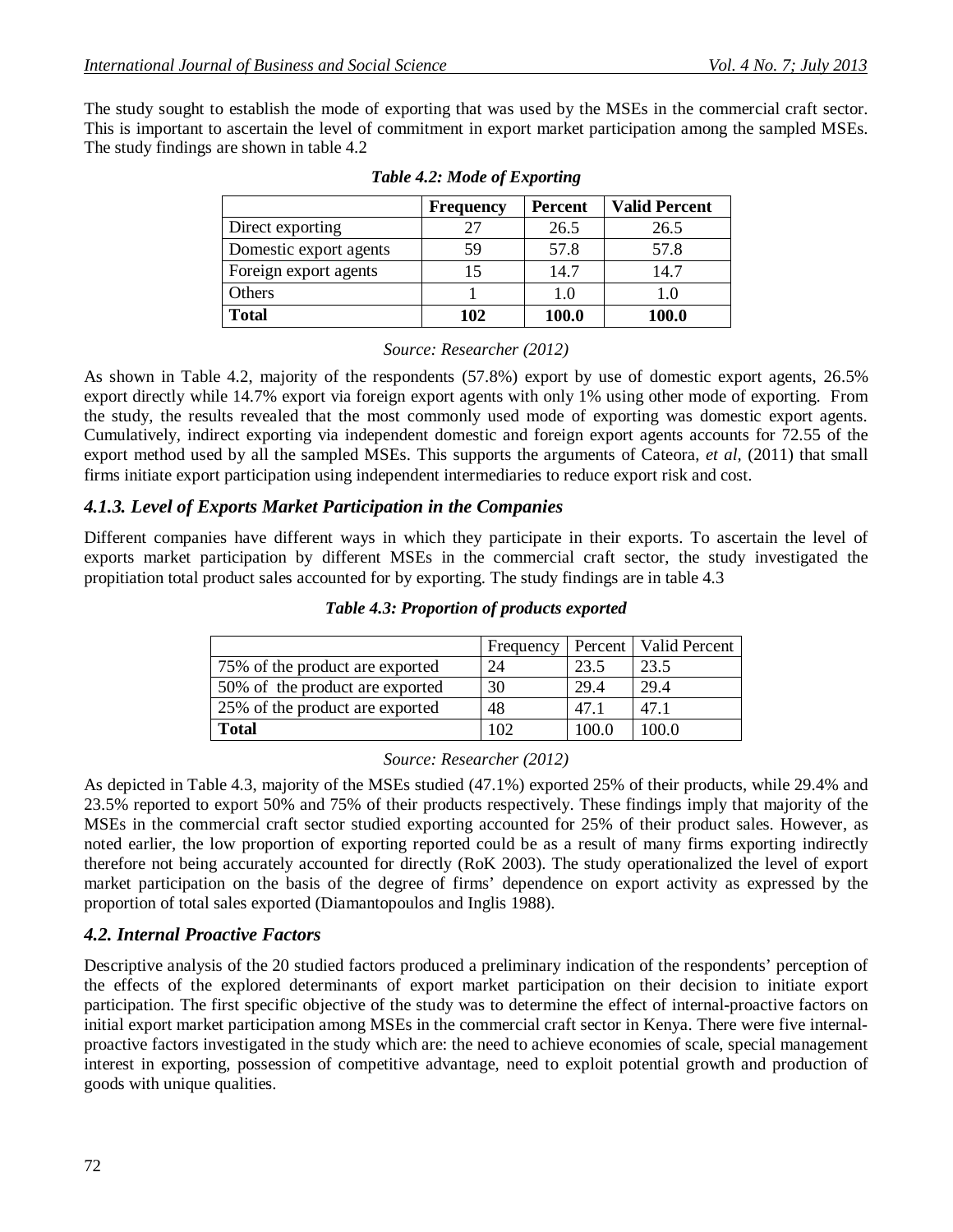The study sought to establish the mode of exporting that was used by the MSEs in the commercial craft sector. This is important to ascertain the level of commitment in export market participation among the sampled MSEs. The study findings are shown in table 4.2

|                        | <b>Frequency</b> | <b>Percent</b> | <b>Valid Percent</b> |
|------------------------|------------------|----------------|----------------------|
| Direct exporting       |                  | 26.5           | 26.5                 |
| Domestic export agents | 59               | 57.8           | 57.8                 |
| Foreign export agents  |                  | 14.7           | 14.7                 |
| Others                 |                  | 1.0            | 1.0                  |
| <b>Total</b>           | 102              | 100.0          | <b>100.0</b>         |

|  | Table 4.2: Mode of Exporting |
|--|------------------------------|
|  |                              |

#### *Source: Researcher (2012)*

As shown in Table 4.2, majority of the respondents (57.8%) export by use of domestic export agents, 26.5% export directly while 14.7% export via foreign export agents with only 1% using other mode of exporting. From the study, the results revealed that the most commonly used mode of exporting was domestic export agents. Cumulatively, indirect exporting via independent domestic and foreign export agents accounts for 72.55 of the export method used by all the sampled MSEs. This supports the arguments of Cateora, *et al,* (2011) that small firms initiate export participation using independent intermediaries to reduce export risk and cost.

#### *4.1.3. Level of Exports Market Participation in the Companies*

Different companies have different ways in which they participate in their exports. To ascertain the level of exports market participation by different MSEs in the commercial craft sector, the study investigated the propitiation total product sales accounted for by exporting. The study findings are in table 4.3

|                                 | Frequency |       | Percent   Valid Percent |
|---------------------------------|-----------|-------|-------------------------|
| 75% of the product are exported | 24        | 23.5  | 23.5                    |
| 50% of the product are exported | 30        | 29.4  | 29.4                    |
| 25% of the product are exported | 48        | 47.1  | 47 1                    |
| <b>Total</b>                    | 102       | 100.0 | 100 O                   |

#### *Table 4.3: Proportion of products exported*

#### *Source: Researcher (2012)*

As depicted in Table 4.3, majority of the MSEs studied (47.1%) exported 25% of their products, while 29.4% and 23.5% reported to export 50% and 75% of their products respectively. These findings imply that majority of the MSEs in the commercial craft sector studied exporting accounted for 25% of their product sales. However, as noted earlier, the low proportion of exporting reported could be as a result of many firms exporting indirectly therefore not being accurately accounted for directly (RoK 2003). The study operationalized the level of export market participation on the basis of the degree of firms' dependence on export activity as expressed by the proportion of total sales exported (Diamantopoulos and Inglis 1988).

#### *4.2. Internal Proactive Factors*

Descriptive analysis of the 20 studied factors produced a preliminary indication of the respondents' perception of the effects of the explored determinants of export market participation on their decision to initiate export participation. The first specific objective of the study was to determine the effect of internal-proactive factors on initial export market participation among MSEs in the commercial craft sector in Kenya. There were five internalproactive factors investigated in the study which are: the need to achieve economies of scale, special management interest in exporting, possession of competitive advantage, need to exploit potential growth and production of goods with unique qualities.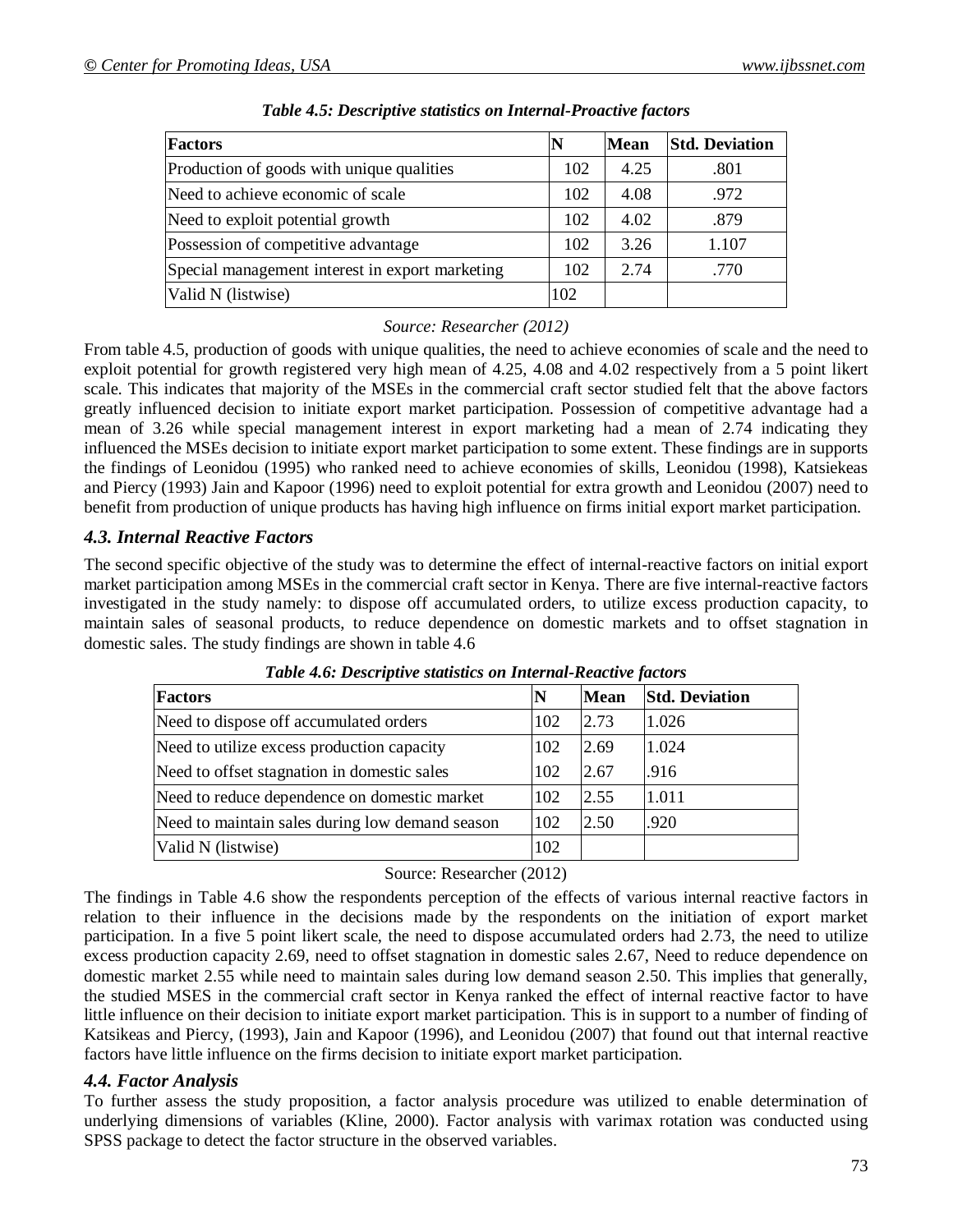| <b>Factors</b>                                  | N   | <b>Mean</b> | <b>Std. Deviation</b> |
|-------------------------------------------------|-----|-------------|-----------------------|
| Production of goods with unique qualities       | 102 | 4.25        | .801                  |
| Need to achieve economic of scale               | 102 | 4.08        | .972                  |
| Need to exploit potential growth                | 102 | 4.02        | .879                  |
| Possession of competitive advantage             | 102 | 3.26        | 1.107                 |
| Special management interest in export marketing | 102 | 2.74        | .770                  |
| Valid N (listwise)                              | 102 |             |                       |

| Table 4.5: Descriptive statistics on Internal-Proactive factors |  |  |
|-----------------------------------------------------------------|--|--|
|                                                                 |  |  |

### *Source: Researcher (2012)*

From table 4.5, production of goods with unique qualities, the need to achieve economies of scale and the need to exploit potential for growth registered very high mean of 4.25, 4.08 and 4.02 respectively from a 5 point likert scale. This indicates that majority of the MSEs in the commercial craft sector studied felt that the above factors greatly influenced decision to initiate export market participation. Possession of competitive advantage had a mean of 3.26 while special management interest in export marketing had a mean of 2.74 indicating they influenced the MSEs decision to initiate export market participation to some extent. These findings are in supports the findings of Leonidou (1995) who ranked need to achieve economies of skills, Leonidou (1998), Katsiekeas and Piercy (1993) Jain and Kapoor (1996) need to exploit potential for extra growth and Leonidou (2007) need to benefit from production of unique products has having high influence on firms initial export market participation.

### *4.3. Internal Reactive Factors*

The second specific objective of the study was to determine the effect of internal-reactive factors on initial export market participation among MSEs in the commercial craft sector in Kenya. There are five internal-reactive factors investigated in the study namely: to dispose off accumulated orders, to utilize excess production capacity, to maintain sales of seasonal products, to reduce dependence on domestic markets and to offset stagnation in domestic sales. The study findings are shown in table 4.6

| Factors                                         | N   | <b>Mean</b> | <b>Std. Deviation</b> |
|-------------------------------------------------|-----|-------------|-----------------------|
| Need to dispose off accumulated orders          | 102 | 2.73        | 1.026                 |
| Need to utilize excess production capacity      | 102 | 2.69        | 1.024                 |
| Need to offset stagnation in domestic sales     | 102 | 2.67        | .916                  |
| Need to reduce dependence on domestic market    | 102 | 2.55        | 1.011                 |
| Need to maintain sales during low demand season | 102 | 2.50        | .920                  |
| Valid N (listwise)                              | 102 |             |                       |

*Table 4.6: Descriptive statistics on Internal-Reactive factors*

Source: Researcher (2012)

The findings in Table 4.6 show the respondents perception of the effects of various internal reactive factors in relation to their influence in the decisions made by the respondents on the initiation of export market participation. In a five 5 point likert scale, the need to dispose accumulated orders had 2.73, the need to utilize excess production capacity 2.69, need to offset stagnation in domestic sales 2.67, Need to reduce dependence on domestic market 2.55 while need to maintain sales during low demand season 2.50. This implies that generally, the studied MSES in the commercial craft sector in Kenya ranked the effect of internal reactive factor to have little influence on their decision to initiate export market participation. This is in support to a number of finding of Katsikeas and Piercy, (1993), Jain and Kapoor (1996), and Leonidou (2007) that found out that internal reactive factors have little influence on the firms decision to initiate export market participation.

#### *4.4. Factor Analysis*

To further assess the study proposition, a factor analysis procedure was utilized to enable determination of underlying dimensions of variables (Kline, 2000). Factor analysis with varimax rotation was conducted using SPSS package to detect the factor structure in the observed variables.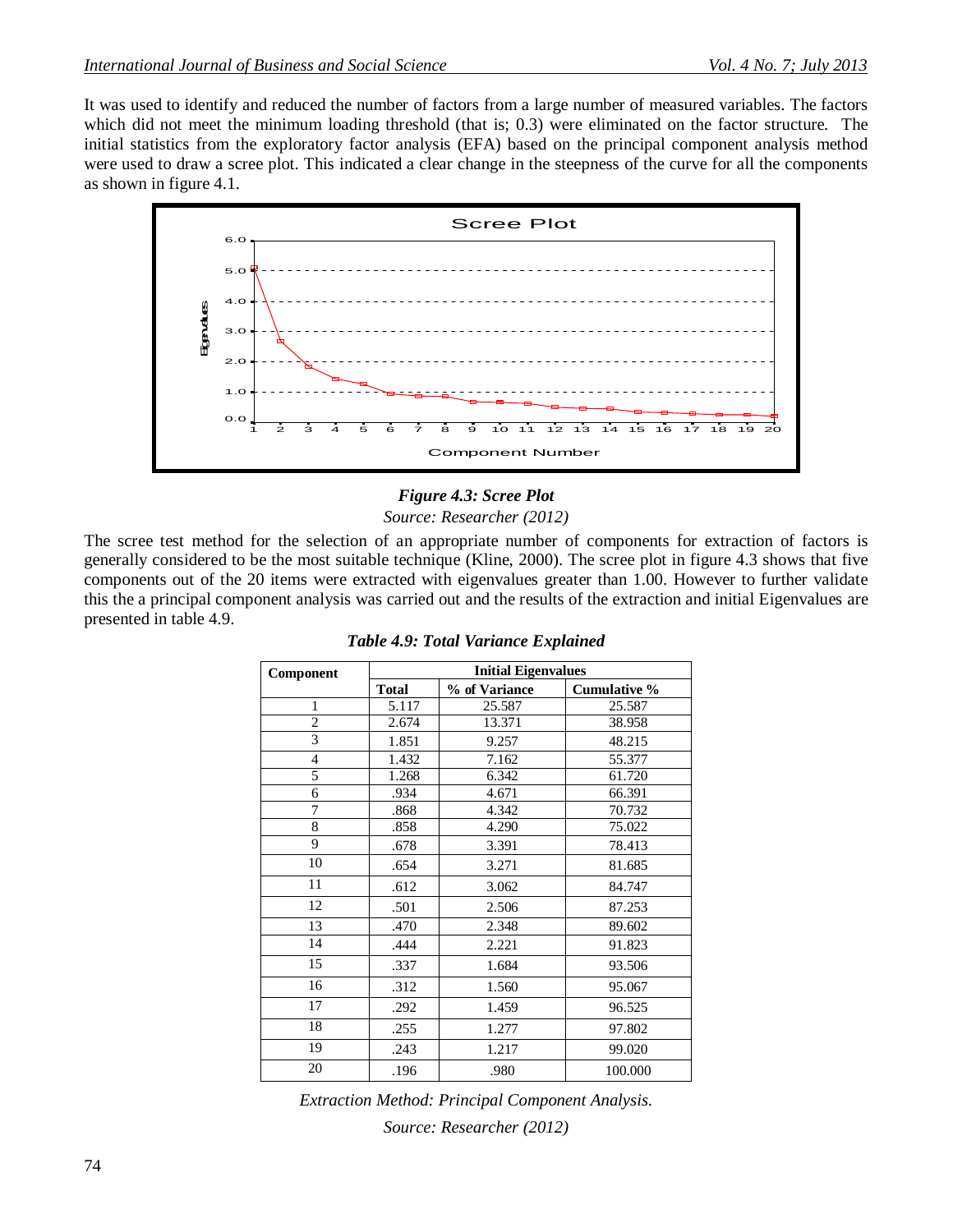It was used to identify and reduced the number of factors from a large number of measured variables. The factors which did not meet the minimum loading threshold (that is; 0.3) were eliminated on the factor structure. The initial statistics from the exploratory factor analysis (EFA) based on the principal component analysis method were used to draw a scree plot. This indicated a clear change in the steepness of the curve for all the components as shown in figure 4.1.



### *Figure 4.3: Scree Plot Source: Researcher (2012)*

The scree test method for the selection of an appropriate number of components for extraction of factors is generally considered to be the most suitable technique (Kline, 2000). The scree plot in figure 4.3 shows that five components out of the 20 items were extracted with eigenvalues greater than 1.00. However to further validate this the a principal component analysis was carried out and the results of the extraction and initial Eigenvalues are presented in table 4.9.

| Component      |              | <b>Initial Eigenvalues</b> |                     |  |  |  |
|----------------|--------------|----------------------------|---------------------|--|--|--|
|                | <b>Total</b> | % of Variance              | <b>Cumulative %</b> |  |  |  |
| 1              | 5.117        | 25.587                     | 25.587              |  |  |  |
| $\overline{2}$ | 2.674        | 13.371                     | 38.958              |  |  |  |
| 3              | 1.851        | 9.257                      | 48.215              |  |  |  |
| $\overline{4}$ | 1.432        | 7.162                      | 55.377              |  |  |  |
| 5              | 1.268        | 6.342                      | 61.720              |  |  |  |
| 6              | .934         | 4.671                      | 66.391              |  |  |  |
| 7              | .868         | 4.342                      | 70.732              |  |  |  |
| 8              | .858         | 4.290                      | 75.022              |  |  |  |
| 9              | .678         | 3.391                      | 78.413              |  |  |  |
| 10             | .654         | 3.271                      | 81.685              |  |  |  |
| 11             | .612         | 3.062                      | 84.747              |  |  |  |
| 12             | .501         | 2.506                      | 87.253              |  |  |  |
| 13             | .470         | 2.348                      | 89.602              |  |  |  |
| 14             | .444         | 2.221                      | 91.823              |  |  |  |
| 15             | .337         | 1.684                      | 93.506              |  |  |  |
| 16             | .312         | 1.560                      | 95.067              |  |  |  |
| 17             | .292         | 1.459                      | 96.525              |  |  |  |
| 18             | .255         | 1.277                      | 97.802              |  |  |  |
| 19             | .243         | 1.217                      | 99.020              |  |  |  |
| 20             | .196         | .980                       | 100.000             |  |  |  |

*Table 4.9: Total Variance Explained*

*Extraction Method: Principal Component Analysis. Source: Researcher (2012)*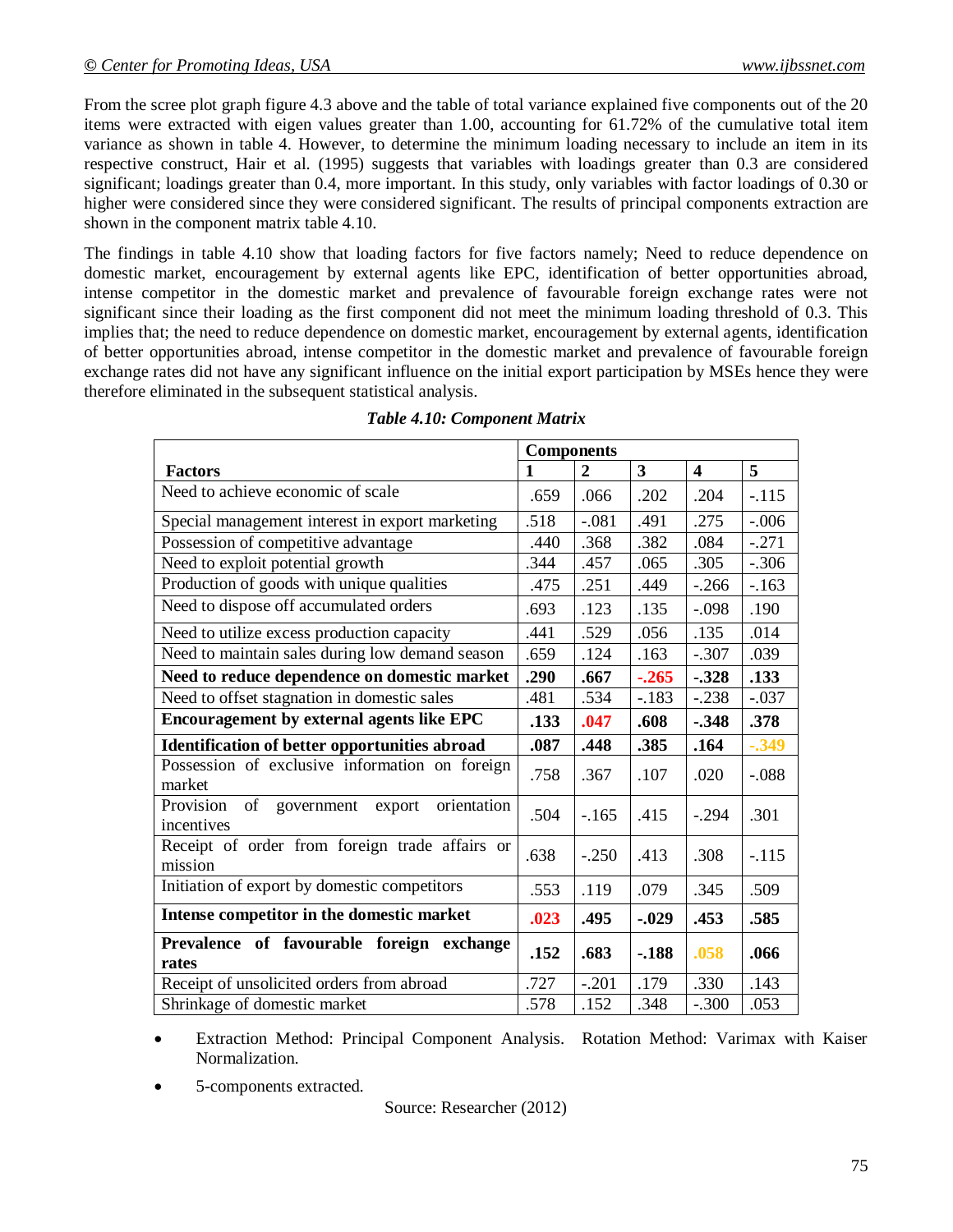From the scree plot graph figure 4.3 above and the table of total variance explained five components out of the 20 items were extracted with eigen values greater than 1.00, accounting for 61.72% of the cumulative total item variance as shown in table 4. However, to determine the minimum loading necessary to include an item in its respective construct, Hair et al. (1995) suggests that variables with loadings greater than 0.3 are considered significant; loadings greater than 0.4, more important. In this study, only variables with factor loadings of 0.30 or higher were considered since they were considered significant. The results of principal components extraction are shown in the component matrix table 4.10.

The findings in table 4.10 show that loading factors for five factors namely; Need to reduce dependence on domestic market, encouragement by external agents like EPC, identification of better opportunities abroad, intense competitor in the domestic market and prevalence of favourable foreign exchange rates were not significant since their loading as the first component did not meet the minimum loading threshold of 0.3. This implies that; the need to reduce dependence on domestic market, encouragement by external agents, identification of better opportunities abroad, intense competitor in the domestic market and prevalence of favourable foreign exchange rates did not have any significant influence on the initial export participation by MSEs hence they were therefore eliminated in the subsequent statistical analysis.

|                                                                      | <b>Components</b> |                |                         |                         |         |
|----------------------------------------------------------------------|-------------------|----------------|-------------------------|-------------------------|---------|
| <b>Factors</b>                                                       | $\mathbf{1}$      | $\overline{2}$ | $\overline{\mathbf{3}}$ | $\overline{\mathbf{4}}$ | 5       |
| Need to achieve economic of scale                                    | .659              | .066           | .202                    | .204                    | $-.115$ |
| Special management interest in export marketing                      | .518              | $-.081$        | .491                    | .275                    | $-.006$ |
| Possession of competitive advantage                                  | .440              | .368           | .382                    | .084                    | $-.271$ |
| Need to exploit potential growth                                     | .344              | .457           | .065                    | .305                    | $-.306$ |
| Production of goods with unique qualities                            | .475              | .251           | .449                    | $-.266$                 | $-163$  |
| Need to dispose off accumulated orders                               | .693              | .123           | .135                    | $-.098$                 | .190    |
| Need to utilize excess production capacity                           | .441              | .529           | .056                    | .135                    | .014    |
| Need to maintain sales during low demand season                      | .659              | .124           | .163                    | $-.307$                 | .039    |
| Need to reduce dependence on domestic market                         | .290              | .667           | $-.265$                 | $-.328$                 | .133    |
| Need to offset stagnation in domestic sales                          | .481              | .534           | $-.183$                 | $-.238$                 | $-.037$ |
| Encouragement by external agents like EPC                            | .133              | .047           | .608                    | $-.348$                 | .378    |
| Identification of better opportunities abroad                        | .087              | .448           | .385                    | .164                    | $-.349$ |
| Possession of exclusive information on foreign<br>market             | .758              | .367           | .107                    | .020                    | $-.088$ |
| of<br>Provision<br>government<br>orientation<br>export<br>incentives | .504              | $-.165$        | .415                    | $-.294$                 | .301    |
| Receipt of order from foreign trade affairs or<br>mission            | .638              | $-.250$        | .413                    | .308                    | $-.115$ |
| Initiation of export by domestic competitors                         | .553              | .119           | .079                    | .345                    | .509    |
| Intense competitor in the domestic market                            | .023              | .495           | $-.029$                 | .453                    | .585    |
| Prevalence of favourable foreign exchange<br>rates                   |                   | .683           | $-.188$                 | .058                    | .066    |
| Receipt of unsolicited orders from abroad                            | .727              | $-.201$        | .179                    | .330                    | .143    |
| Shrinkage of domestic market                                         | .578              | .152           | .348                    | $-.300$                 | .053    |

 Extraction Method: Principal Component Analysis. Rotation Method: Varimax with Kaiser Normalization.

5-components extracted.

Source: Researcher (2012)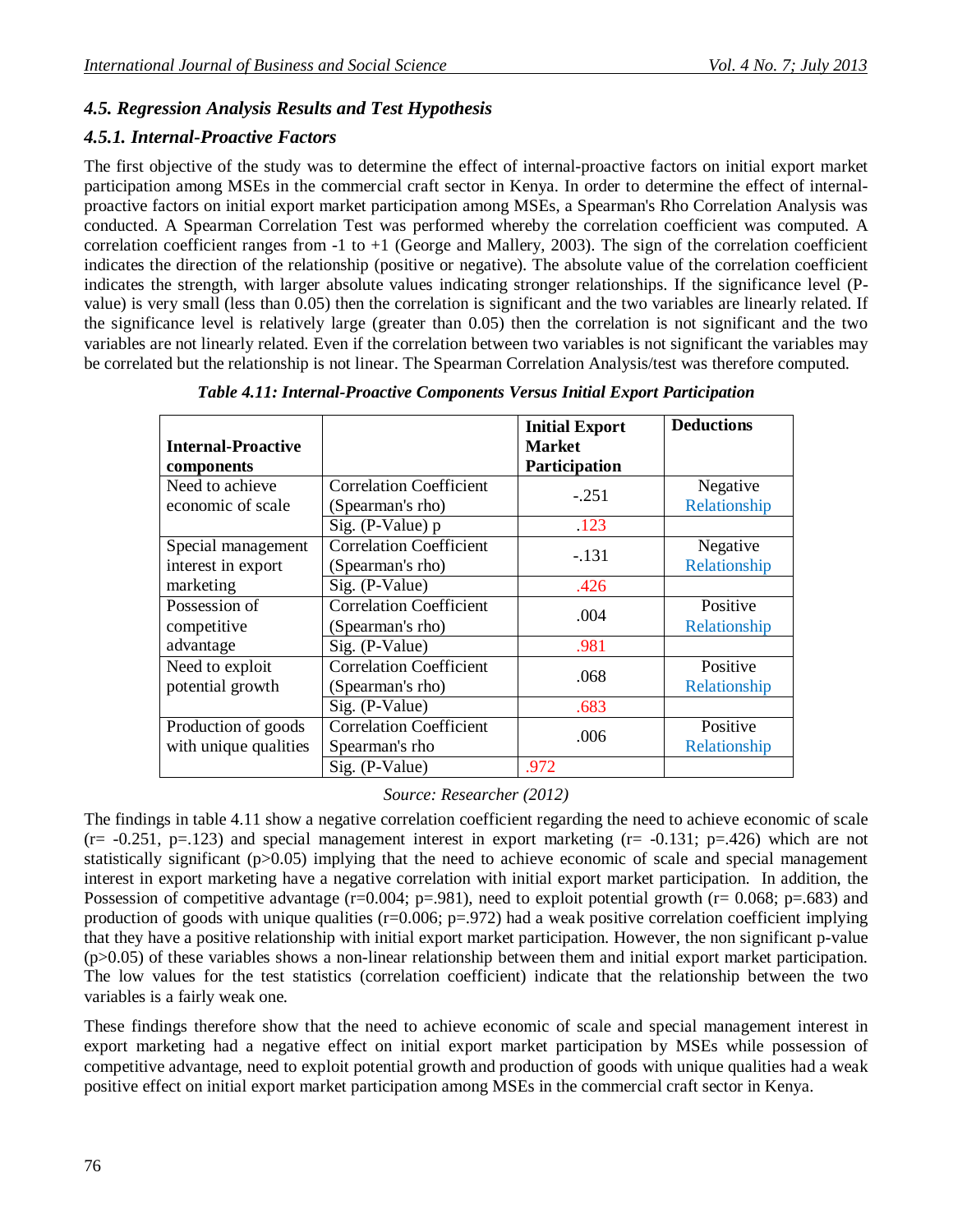# *4.5. Regression Analysis Results and Test Hypothesis*

### *4.5.1. Internal-Proactive Factors*

The first objective of the study was to determine the effect of internal-proactive factors on initial export market participation among MSEs in the commercial craft sector in Kenya. In order to determine the effect of internalproactive factors on initial export market participation among MSEs, a Spearman's Rho Correlation Analysis was conducted. A Spearman Correlation Test was performed whereby the correlation coefficient was computed. A correlation coefficient ranges from  $-1$  to  $+1$  (George and Mallery, 2003). The sign of the correlation coefficient indicates the direction of the relationship (positive or negative). The absolute value of the correlation coefficient indicates the strength, with larger absolute values indicating stronger relationships. If the significance level (Pvalue) is very small (less than 0.05) then the correlation is significant and the two variables are linearly related. If the significance level is relatively large (greater than 0.05) then the correlation is not significant and the two variables are not linearly related. Even if the correlation between two variables is not significant the variables may be correlated but the relationship is not linear. The Spearman Correlation Analysis/test was therefore computed.

| <b>Internal-Proactive</b><br>components      |                                                                          | <b>Initial Export</b><br><b>Market</b><br>Participation | <b>Deductions</b>        |
|----------------------------------------------|--------------------------------------------------------------------------|---------------------------------------------------------|--------------------------|
| Need to achieve<br>economic of scale         | <b>Correlation Coefficient</b><br>(Spearman's rho)                       | $-.251$                                                 | Negative<br>Relationship |
| Special management<br>interest in export     | Sig. (P-Value) $p$<br><b>Correlation Coefficient</b><br>(Spearman's rho) | .123<br>$-.131$                                         | Negative<br>Relationship |
| marketing                                    | Sig. (P-Value)                                                           | .426                                                    |                          |
| Possession of<br>competitive                 | <b>Correlation Coefficient</b><br>(Spearman's rho)                       | .004                                                    | Positive<br>Relationship |
| advantage                                    | Sig. (P-Value)                                                           | .981                                                    |                          |
| Need to exploit<br>potential growth          | <b>Correlation Coefficient</b><br>(Spearman's rho)                       | .068                                                    | Positive<br>Relationship |
|                                              | Sig. (P-Value)                                                           | .683                                                    |                          |
| Production of goods<br>with unique qualities | <b>Correlation Coefficient</b><br>Spearman's rho                         | .006                                                    | Positive<br>Relationship |
|                                              | Sig. (P-Value)                                                           | .972                                                    |                          |

*Table 4.11: Internal-Proactive Components Versus Initial Export Participation*

#### *Source: Researcher (2012)*

The findings in table 4.11 show a negative correlation coefficient regarding the need to achieve economic of scale  $(r= -0.251, p=.123)$  and special management interest in export marketing  $(r= -0.131; p=.426)$  which are not statistically significant (p>0.05) implying that the need to achieve economic of scale and special management interest in export marketing have a negative correlation with initial export market participation. In addition, the Possession of competitive advantage ( $r=0.004$ ;  $p=.981$ ), need to exploit potential growth ( $r= 0.068$ ;  $p=.683$ ) and production of goods with unique qualities ( $r=0.006$ ;  $p=.972$ ) had a weak positive correlation coefficient implying that they have a positive relationship with initial export market participation. However, the non significant p-value  $(p>0.05)$  of these variables shows a non-linear relationship between them and initial export market participation. The low values for the test statistics (correlation coefficient) indicate that the relationship between the two variables is a fairly weak one.

These findings therefore show that the need to achieve economic of scale and special management interest in export marketing had a negative effect on initial export market participation by MSEs while possession of competitive advantage, need to exploit potential growth and production of goods with unique qualities had a weak positive effect on initial export market participation among MSEs in the commercial craft sector in Kenya.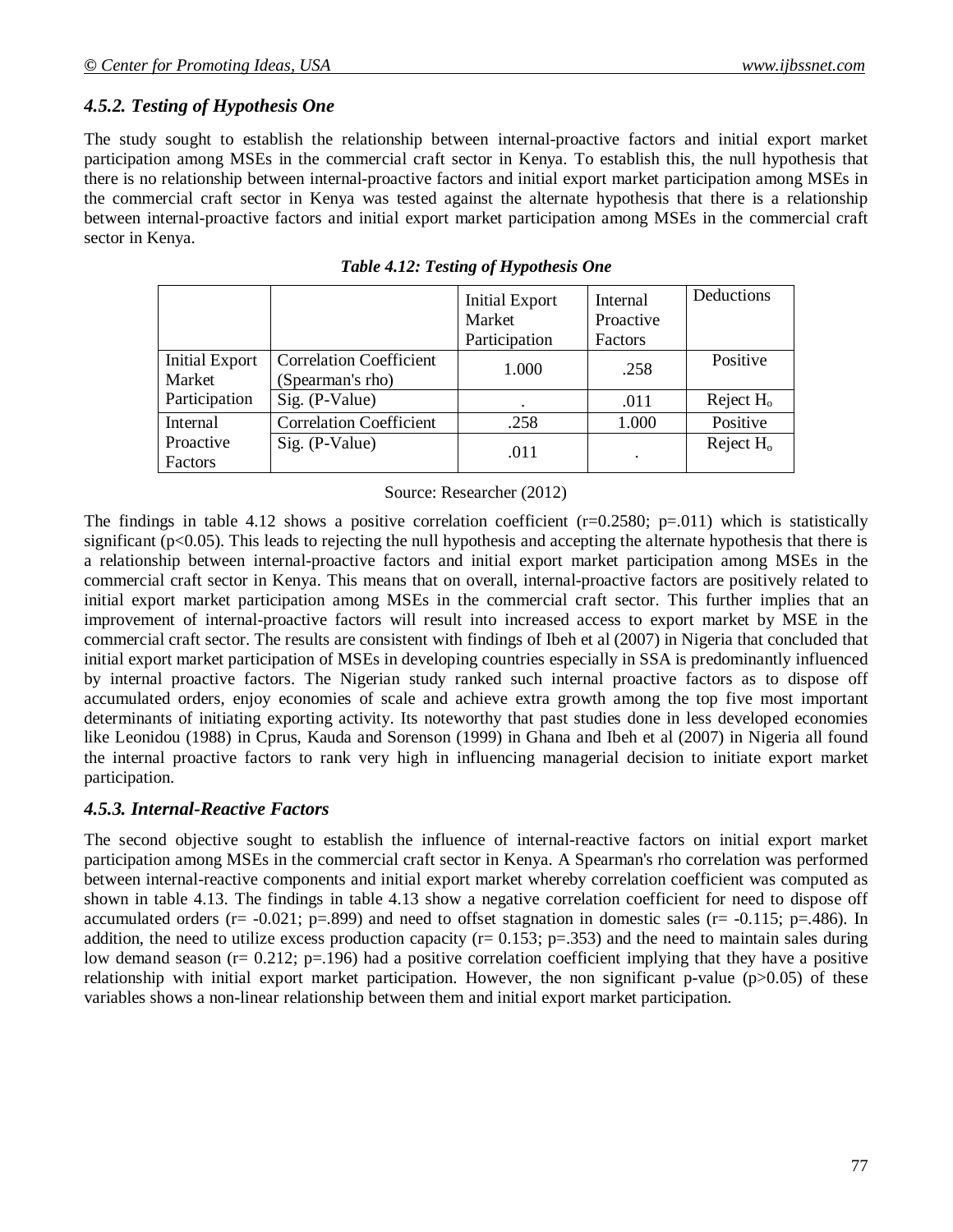#### *4.5.2. Testing of Hypothesis One*

The study sought to establish the relationship between internal-proactive factors and initial export market participation among MSEs in the commercial craft sector in Kenya. To establish this, the null hypothesis that there is no relationship between internal-proactive factors and initial export market participation among MSEs in the commercial craft sector in Kenya was tested against the alternate hypothesis that there is a relationship between internal-proactive factors and initial export market participation among MSEs in the commercial craft sector in Kenya.

|                                 |                                                    | <b>Initial Export</b><br>Market | Internal<br>Proactive | Deductions   |
|---------------------------------|----------------------------------------------------|---------------------------------|-----------------------|--------------|
|                                 |                                                    | Participation                   | Factors               |              |
| <b>Initial Export</b><br>Market | <b>Correlation Coefficient</b><br>(Spearman's rho) | 1.000                           | .258                  | Positive     |
| Participation                   | Sig. (P-Value)                                     |                                 | .011                  | Reject $H_0$ |
| <b>Internal</b>                 | <b>Correlation Coefficient</b>                     | .258                            | 1.000                 | Positive     |
| Proactive<br>Factors            | Sig. (P-Value)                                     | .011                            | ٠                     | Reject $H_0$ |

|  |  | Table 4.12: Testing of Hypothesis One |  |  |  |
|--|--|---------------------------------------|--|--|--|
|--|--|---------------------------------------|--|--|--|

#### Source: Researcher (2012)

The findings in table 4.12 shows a positive correlation coefficient  $(r=0.2580; p=.011)$  which is statistically significant ( $p<0.05$ ). This leads to rejecting the null hypothesis and accepting the alternate hypothesis that there is a relationship between internal-proactive factors and initial export market participation among MSEs in the commercial craft sector in Kenya. This means that on overall, internal-proactive factors are positively related to initial export market participation among MSEs in the commercial craft sector. This further implies that an improvement of internal-proactive factors will result into increased access to export market by MSE in the commercial craft sector. The results are consistent with findings of Ibeh et al (2007) in Nigeria that concluded that initial export market participation of MSEs in developing countries especially in SSA is predominantly influenced by internal proactive factors. The Nigerian study ranked such internal proactive factors as to dispose off accumulated orders, enjoy economies of scale and achieve extra growth among the top five most important determinants of initiating exporting activity. Its noteworthy that past studies done in less developed economies like Leonidou (1988) in Cprus, Kauda and Sorenson (1999) in Ghana and Ibeh et al (2007) in Nigeria all found the internal proactive factors to rank very high in influencing managerial decision to initiate export market participation.

#### *4.5.3. Internal-Reactive Factors*

The second objective sought to establish the influence of internal-reactive factors on initial export market participation among MSEs in the commercial craft sector in Kenya. A Spearman's rho correlation was performed between internal-reactive components and initial export market whereby correlation coefficient was computed as shown in table 4.13. The findings in table 4.13 show a negative correlation coefficient for need to dispose off accumulated orders ( $r = -0.021$ ;  $p = .899$ ) and need to offset stagnation in domestic sales ( $r = -0.115$ ;  $p = .486$ ). In addition, the need to utilize excess production capacity ( $r= 0.153$ ;  $p=.353$ ) and the need to maintain sales during low demand season (r= 0.212; p=.196) had a positive correlation coefficient implying that they have a positive relationship with initial export market participation. However, the non significant p-value  $(p>0.05)$  of these variables shows a non-linear relationship between them and initial export market participation.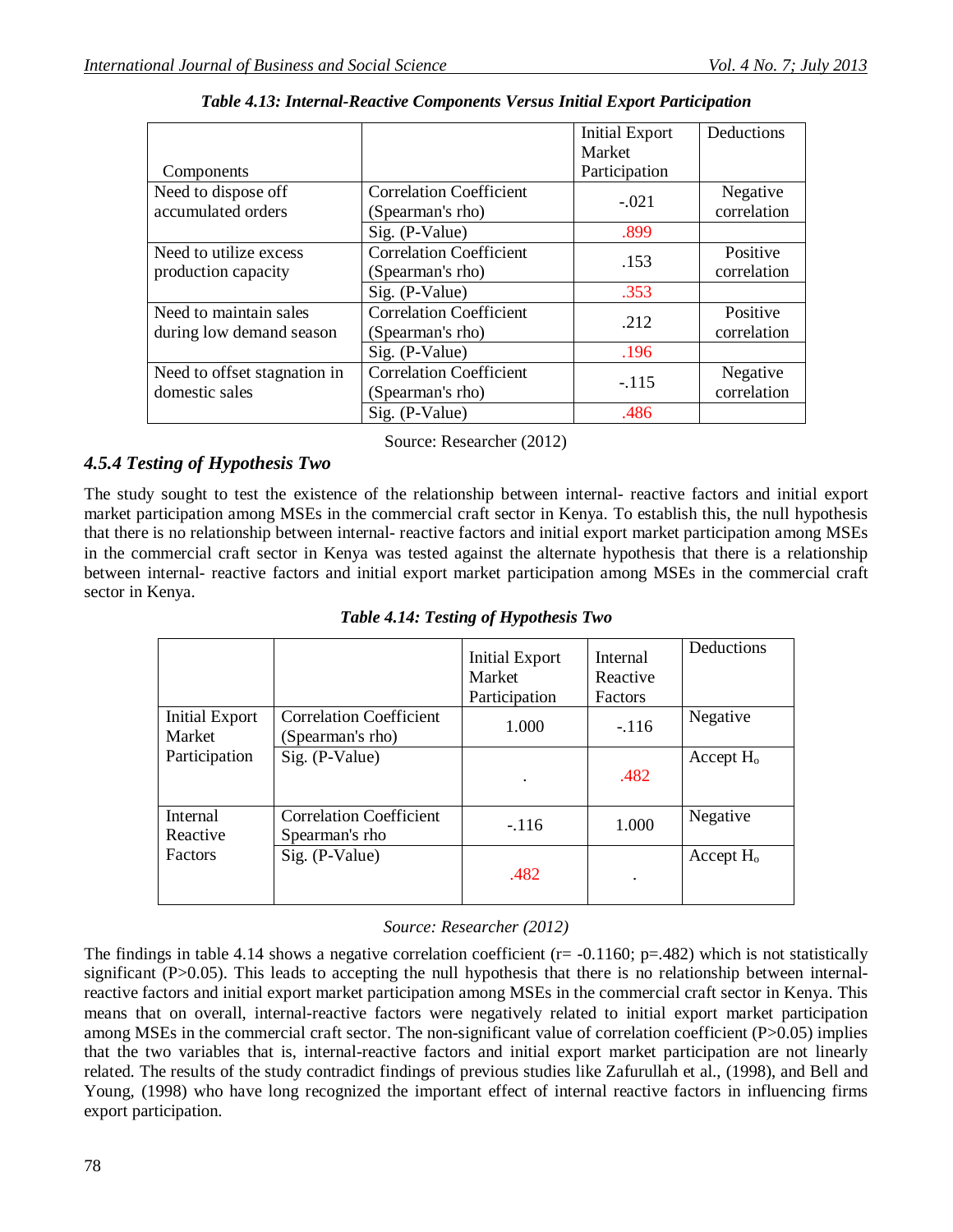|                              |                                | <b>Initial Export</b> | Deductions  |
|------------------------------|--------------------------------|-----------------------|-------------|
|                              |                                | Market                |             |
| Components                   |                                | Participation         |             |
| Need to dispose off          | <b>Correlation Coefficient</b> |                       | Negative    |
| accumulated orders           | (Spearman's rho)               | $-.021$               | correlation |
|                              | Sig. (P-Value)                 | .899                  |             |
| Need to utilize excess       | <b>Correlation Coefficient</b> |                       | Positive    |
| production capacity          | (Spearman's rho)               | .153                  | correlation |
|                              | Sig. (P-Value)                 | .353                  |             |
| Need to maintain sales       | <b>Correlation Coefficient</b> | .212                  | Positive    |
| during low demand season     | (Spearman's rho)               |                       | correlation |
|                              | Sig. (P-Value)                 | .196                  |             |
| Need to offset stagnation in | <b>Correlation Coefficient</b> |                       | Negative    |
| domestic sales               | (Spearman's rho)               | $-.115$               | correlation |
|                              | Sig. (P-Value)                 | .486                  |             |

*Table 4.13: Internal-Reactive Components Versus Initial Export Participation*

Source: Researcher (2012)

## *4.5.4 Testing of Hypothesis Two*

The study sought to test the existence of the relationship between internal- reactive factors and initial export market participation among MSEs in the commercial craft sector in Kenya. To establish this, the null hypothesis that there is no relationship between internal- reactive factors and initial export market participation among MSEs in the commercial craft sector in Kenya was tested against the alternate hypothesis that there is a relationship between internal- reactive factors and initial export market participation among MSEs in the commercial craft sector in Kenya.

*Table 4.14: Testing of Hypothesis Two*

|                             |                                                    | Initial Export<br>Market<br>Participation | Internal<br>Reactive<br>Factors | Deductions   |
|-----------------------------|----------------------------------------------------|-------------------------------------------|---------------------------------|--------------|
| Initial Export<br>Market    | <b>Correlation Coefficient</b><br>(Spearman's rho) | 1.000                                     | $-.116$                         | Negative     |
| Participation               | Sig. (P-Value)                                     | $\bullet$                                 | .482                            | Accept $H_0$ |
| <b>Internal</b><br>Reactive | <b>Correlation Coefficient</b><br>Spearman's rho   | $-116$                                    | 1.000                           | Negative     |
| <b>Factors</b>              | Sig. (P-Value)                                     | .482                                      |                                 | Accept $H_0$ |

### *Source: Researcher (2012)*

The findings in table 4.14 shows a negative correlation coefficient ( $r = -0.1160$ ;  $p = .482$ ) which is not statistically significant (P>0.05). This leads to accepting the null hypothesis that there is no relationship between internalreactive factors and initial export market participation among MSEs in the commercial craft sector in Kenya. This means that on overall, internal-reactive factors were negatively related to initial export market participation among MSEs in the commercial craft sector. The non-significant value of correlation coefficient (P>0.05) implies that the two variables that is, internal-reactive factors and initial export market participation are not linearly related. The results of the study contradict findings of previous studies like Zafurullah et al., (1998), and Bell and Young, (1998) who have long recognized the important effect of internal reactive factors in influencing firms export participation.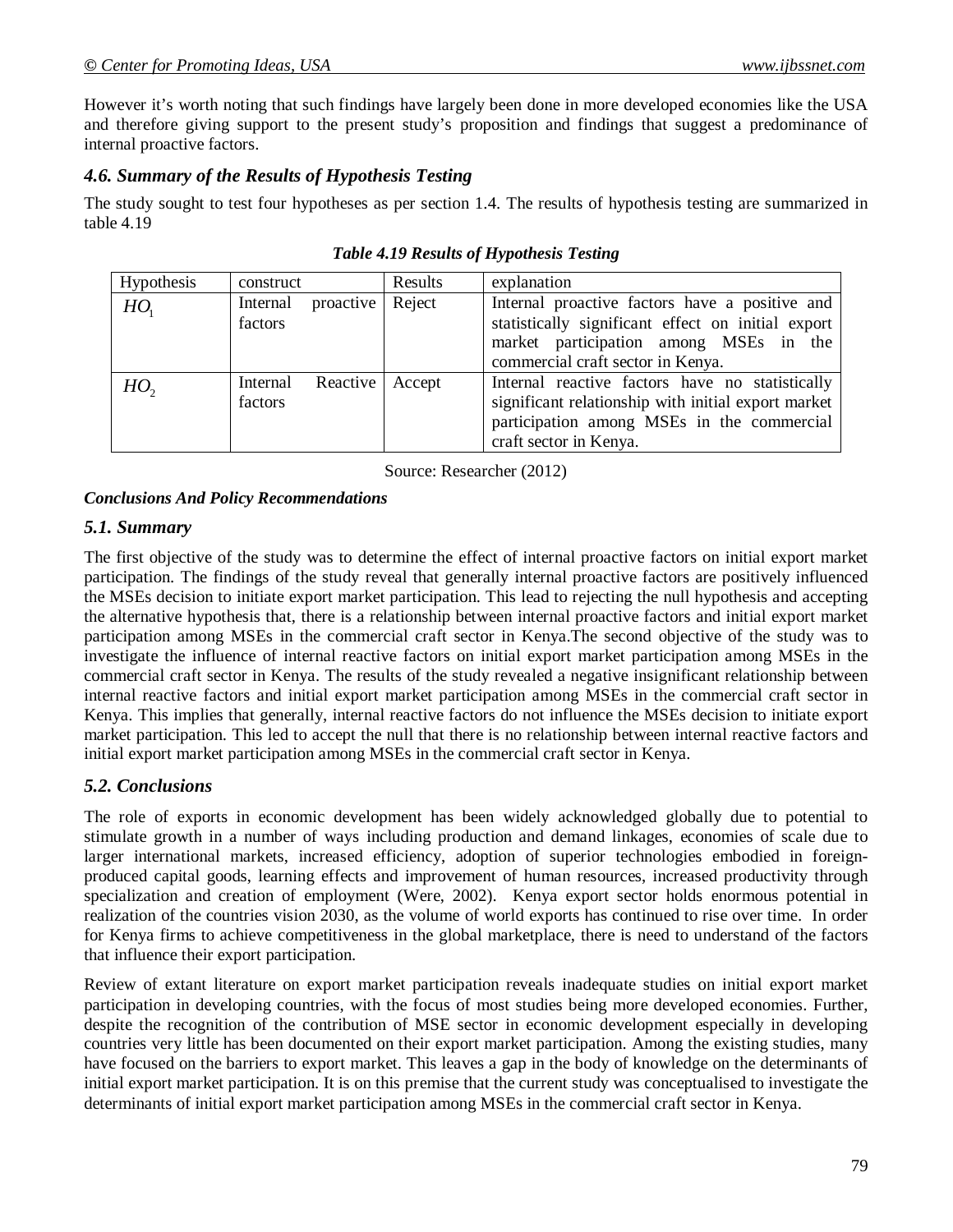However it's worth noting that such findings have largely been done in more developed economies like the USA and therefore giving support to the present study's proposition and findings that suggest a predominance of internal proactive factors.

#### *4.6. Summary of the Results of Hypothesis Testing*

The study sought to test four hypotheses as per section 1.4. The results of hypothesis testing are summarized in table 4.19

| <b>Hypothesis</b> | construct           |           | Results | explanation                                                                                                                                                                         |
|-------------------|---------------------|-----------|---------|-------------------------------------------------------------------------------------------------------------------------------------------------------------------------------------|
| HO <sub>1</sub>   | Internal<br>factors | proactive | Reject  | Internal proactive factors have a positive and<br>statistically significant effect on initial export<br>market participation among MSEs in the<br>commercial craft sector in Kenya. |
| $HO$ ,            | Internal<br>factors | Reactive  | Accept  | Internal reactive factors have no statistically<br>significant relationship with initial export market<br>participation among MSEs in the commercial<br>craft sector in Kenya.      |

Source: Researcher (2012)

#### *Conclusions And Policy Recommendations*

#### *5.1. Summary*

The first objective of the study was to determine the effect of internal proactive factors on initial export market participation. The findings of the study reveal that generally internal proactive factors are positively influenced the MSEs decision to initiate export market participation. This lead to rejecting the null hypothesis and accepting the alternative hypothesis that, there is a relationship between internal proactive factors and initial export market participation among MSEs in the commercial craft sector in Kenya.The second objective of the study was to investigate the influence of internal reactive factors on initial export market participation among MSEs in the commercial craft sector in Kenya. The results of the study revealed a negative insignificant relationship between internal reactive factors and initial export market participation among MSEs in the commercial craft sector in Kenya. This implies that generally, internal reactive factors do not influence the MSEs decision to initiate export market participation. This led to accept the null that there is no relationship between internal reactive factors and initial export market participation among MSEs in the commercial craft sector in Kenya.

#### *5.2. Conclusions*

The role of exports in economic development has been widely acknowledged globally due to potential to stimulate growth in a number of ways including production and demand linkages, economies of scale due to larger international markets, increased efficiency, adoption of superior technologies embodied in foreignproduced capital goods, learning effects and improvement of human resources, increased productivity through specialization and creation of employment (Were, 2002). Kenya export sector holds enormous potential in realization of the countries vision 2030, as the volume of world exports has continued to rise over time. In order for Kenya firms to achieve competitiveness in the global marketplace, there is need to understand of the factors that influence their export participation.

Review of extant literature on export market participation reveals inadequate studies on initial export market participation in developing countries, with the focus of most studies being more developed economies. Further, despite the recognition of the contribution of MSE sector in economic development especially in developing countries very little has been documented on their export market participation. Among the existing studies, many have focused on the barriers to export market. This leaves a gap in the body of knowledge on the determinants of initial export market participation. It is on this premise that the current study was conceptualised to investigate the determinants of initial export market participation among MSEs in the commercial craft sector in Kenya.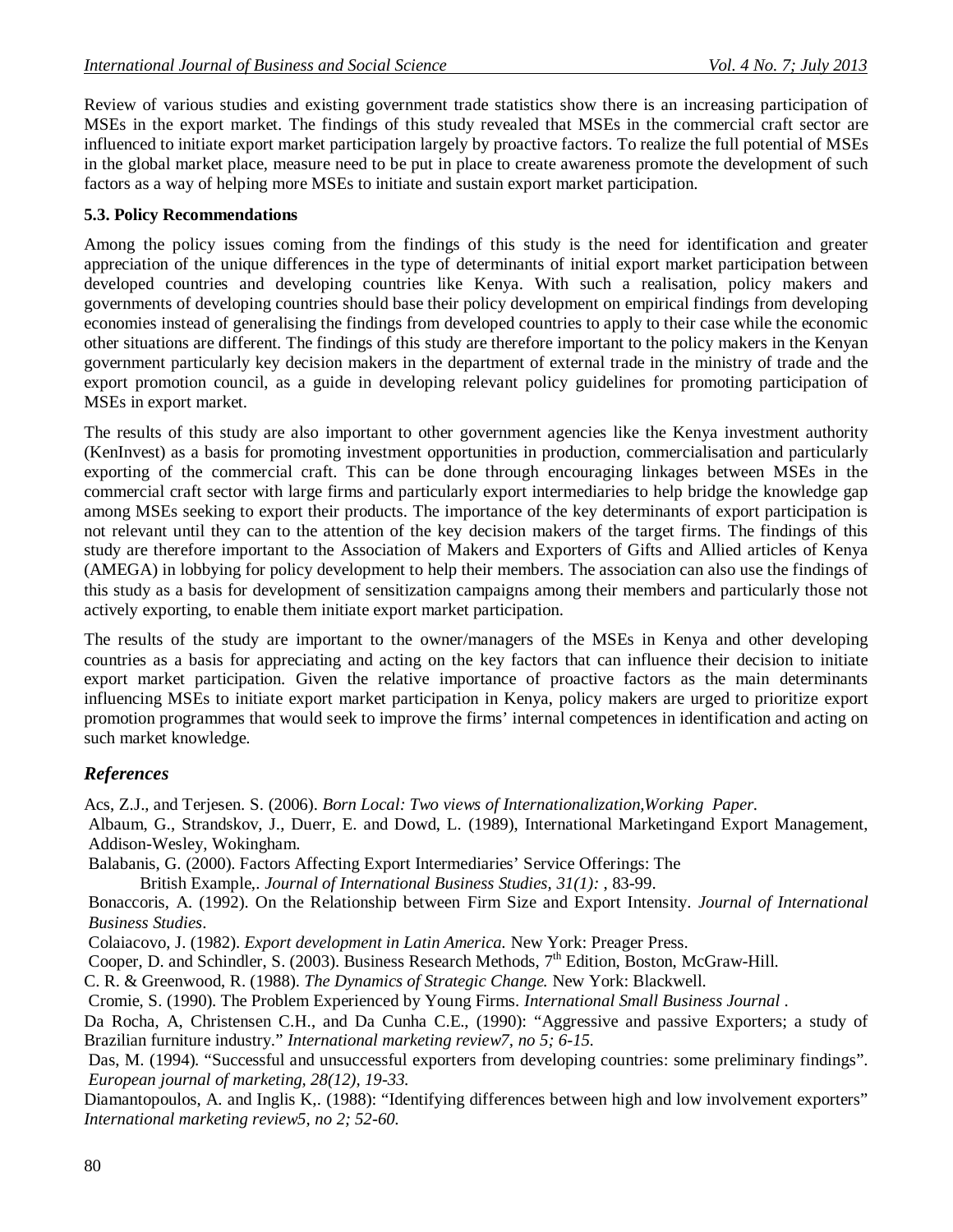Review of various studies and existing government trade statistics show there is an increasing participation of MSEs in the export market. The findings of this study revealed that MSEs in the commercial craft sector are influenced to initiate export market participation largely by proactive factors. To realize the full potential of MSEs in the global market place, measure need to be put in place to create awareness promote the development of such factors as a way of helping more MSEs to initiate and sustain export market participation.

#### **5.3. Policy Recommendations**

Among the policy issues coming from the findings of this study is the need for identification and greater appreciation of the unique differences in the type of determinants of initial export market participation between developed countries and developing countries like Kenya. With such a realisation, policy makers and governments of developing countries should base their policy development on empirical findings from developing economies instead of generalising the findings from developed countries to apply to their case while the economic other situations are different. The findings of this study are therefore important to the policy makers in the Kenyan government particularly key decision makers in the department of external trade in the ministry of trade and the export promotion council, as a guide in developing relevant policy guidelines for promoting participation of MSEs in export market.

The results of this study are also important to other government agencies like the Kenya investment authority (KenInvest) as a basis for promoting investment opportunities in production, commercialisation and particularly exporting of the commercial craft. This can be done through encouraging linkages between MSEs in the commercial craft sector with large firms and particularly export intermediaries to help bridge the knowledge gap among MSEs seeking to export their products. The importance of the key determinants of export participation is not relevant until they can to the attention of the key decision makers of the target firms. The findings of this study are therefore important to the Association of Makers and Exporters of Gifts and Allied articles of Kenya (AMEGA) in lobbying for policy development to help their members. The association can also use the findings of this study as a basis for development of sensitization campaigns among their members and particularly those not actively exporting, to enable them initiate export market participation.

The results of the study are important to the owner/managers of the MSEs in Kenya and other developing countries as a basis for appreciating and acting on the key factors that can influence their decision to initiate export market participation. Given the relative importance of proactive factors as the main determinants influencing MSEs to initiate export market participation in Kenya, policy makers are urged to prioritize export promotion programmes that would seek to improve the firms' internal competences in identification and acting on such market knowledge.

### *References*

Acs, Z.J., and Terjesen. S. (2006). *Born Local: Two views of Internationalization,Working Paper.*

Albaum, G., Strandskov, J., Duerr, E. and Dowd, L. (1989), International Marketingand Export Management, Addison-Wesley, Wokingham.

Balabanis, G. (2000). Factors Affecting Export Intermediaries' Service Offerings: The

British Example,. *Journal of International Business Studies, 31(1):* , 83-99.

Bonaccoris, A. (1992). On the Relationship between Firm Size and Export Intensity. *Journal of International Business Studies*.

Colaiacovo, J. (1982). *Export development in Latin America.* New York: Preager Press.

Cooper, D. and Schindler, S. (2003). Business Research Methods,  $7<sup>th</sup>$  Edition, Boston, McGraw-Hill.

C. R. & Greenwood, R. (1988). *The Dynamics of Strategic Change.* New York: Blackwell.

Cromie, S. (1990). The Problem Experienced by Young Firms. *International Small Business Journal* .

Da Rocha, A, Christensen C.H., and Da Cunha C.E., (1990): "Aggressive and passive Exporters; a study of Brazilian furniture industry." *International marketing review7, no 5; 6-15.*

Das, M. (1994). "Successful and unsuccessful exporters from developing countries: some preliminary findings". *European journal of marketing, 28(12), 19-33.*

Diamantopoulos, A. and Inglis K,. (1988): "Identifying differences between high and low involvement exporters" *International marketing review5, no 2; 52-60.*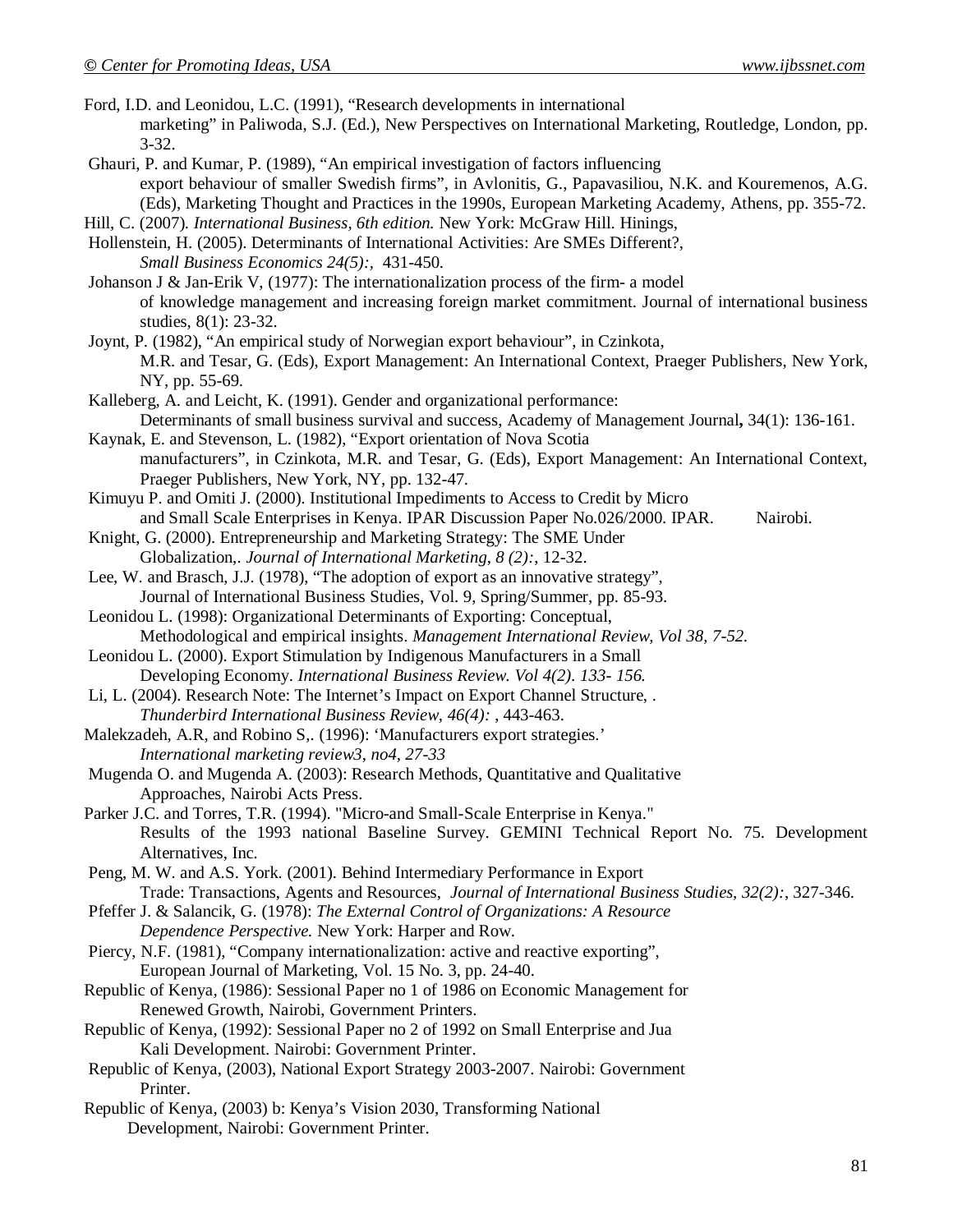- Ford, I.D. and Leonidou, L.C. (1991), "Research developments in international marketing" in Paliwoda, S.J. (Ed.), New Perspectives on International Marketing, Routledge, London, pp. 3-32.
- Ghauri, P. and Kumar, P. (1989), "An empirical investigation of factors influencing export behaviour of smaller Swedish firms", in Avlonitis, G., Papavasiliou, N.K. and Kouremenos, A.G. (Eds), Marketing Thought and Practices in the 1990s, European Marketing Academy, Athens, pp. 355-72.
- Hill, C. (2007). *International Business, 6th edition.* New York: McGraw Hill. Hinings,
- Hollenstein, H. (2005). Determinants of International Activities: Are SMEs Different?, *Small Business Economics 24(5):,* 431-450.
- Johanson J & Jan-Erik V, (1977): The internationalization process of the firm- a model of knowledge management and increasing foreign market commitment. Journal of international business studies, 8(1): 23-32.
- Joynt, P. (1982), "An empirical study of Norwegian export behaviour", in Czinkota, M.R. and Tesar, G. (Eds), Export Management: An International Context, Praeger Publishers, New York, NY, pp. 55-69.
- Kalleberg, A. and Leicht, K. (1991). Gender and organizational performance: Determinants of small business survival and success, Academy of Management Journal**,** 34(1): 136-161.

Kaynak, E. and Stevenson, L. (1982), "Export orientation of Nova Scotia manufacturers", in Czinkota, M.R. and Tesar, G. (Eds), Export Management: An International Context, Praeger Publishers, New York, NY, pp. 132-47.

- Kimuyu P. and Omiti J. (2000). Institutional Impediments to Access to Credit by Micro and Small Scale Enterprises in Kenya. IPAR Discussion Paper No.026/2000. IPAR. Nairobi.
- Knight, G. (2000). Entrepreneurship and Marketing Strategy: The SME Under Globalization,. *Journal of International Marketing, 8 (2):*, 12-32.
- Lee, W. and Brasch, J.J. (1978), "The adoption of export as an innovative strategy", Journal of International Business Studies, Vol. 9, Spring/Summer, pp. 85-93.

Leonidou L. (1998): Organizational Determinants of Exporting: Conceptual, Methodological and empirical insights. *Management International Review, Vol 38, 7-52.*

Leonidou L. (2000). Export Stimulation by Indigenous Manufacturers in a Small Developing Economy. *International Business Review. Vol 4(2). 133- 156.*

Li, L. (2004). Research Note: The Internet's Impact on Export Channel Structure, . *Thunderbird International Business Review, 46(4):* , 443-463.

- Malekzadeh, A.R, and Robino S,. (1996): 'Manufacturers export strategies.' *International marketing review3, no4, 27-33*
- Mugenda O. and Mugenda A. (2003): Research Methods, Quantitative and Qualitative Approaches, Nairobi Acts Press.
- Parker J.C. and Torres, T.R. (1994). "Micro-and Small-Scale Enterprise in Kenya." Results of the 1993 national Baseline Survey. GEMINI Technical Report No. 75. Development Alternatives, Inc.
- Peng, M. W. and A.S. York. (2001). Behind Intermediary Performance in Export Trade: Transactions, Agents and Resources, *Journal of International Business Studies, 32(2):*, 327-346.
- Pfeffer J. & Salancik, G. (1978): *The External Control of Organizations: A Resource Dependence Perspective.* New York: Harper and Row.
- Piercy, N.F. (1981), "Company internationalization: active and reactive exporting", European Journal of Marketing, Vol. 15 No. 3, pp. 24-40.
- Republic of Kenya, (1986): Sessional Paper no 1 of 1986 on Economic Management for Renewed Growth, Nairobi, Government Printers.
- Republic of Kenya, (1992): Sessional Paper no 2 of 1992 on Small Enterprise and Jua Kali Development. Nairobi: Government Printer.
- Republic of Kenya, (2003), National Export Strategy 2003-2007. Nairobi: Government Printer.
- Republic of Kenya, (2003) b: Kenya's Vision 2030, Transforming National Development, Nairobi: Government Printer.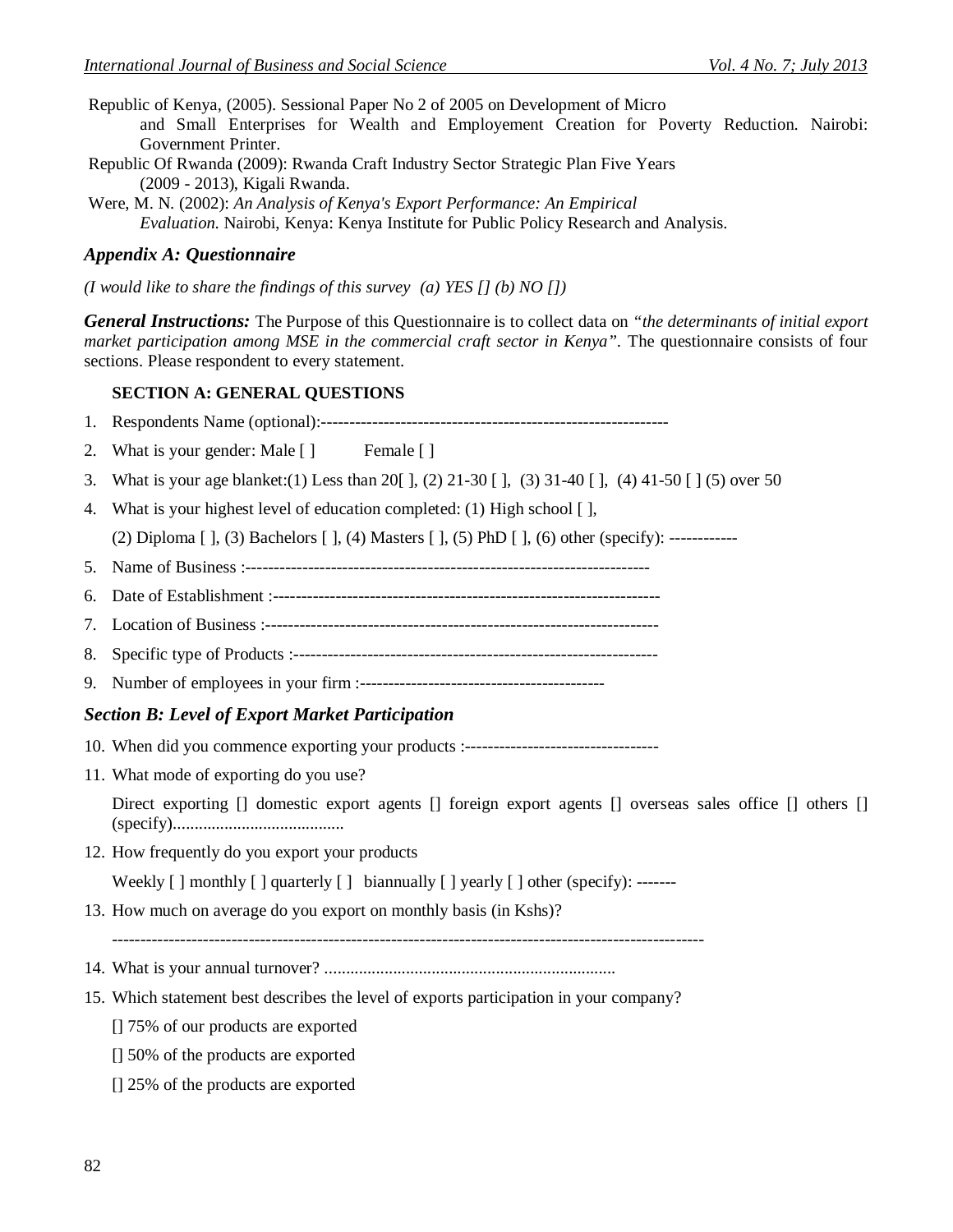- Republic of Kenya, (2005). Sessional Paper No 2 of 2005 on Development of Micro and Small Enterprises for Wealth and Employement Creation for Poverty Reduction. Nairobi: Government Printer.
- Republic Of Rwanda (2009): Rwanda Craft Industry Sector Strategic Plan Five Years (2009 - 2013), Kigali Rwanda.
- Were, M. N. (2002): *An Analysis of Kenya's Export Performance: An Empirical Evaluation.* Nairobi, Kenya: Kenya Institute for Public Policy Research and Analysis.

#### *Appendix A: Questionnaire*

*(I would like to share the findings of this survey (a) YES [] (b) NO [])*

*General Instructions:* The Purpose of this Questionnaire is to collect data on *"the determinants of initial export market participation among MSE in the commercial craft sector in Kenya".* The questionnaire consists of four sections. Please respondent to every statement.

#### **SECTION A: GENERAL QUESTIONS**

1. Respondents Name (optional):-------------------------------------------------------------

- 2. What is your gender: Male [] Female []
- 3. What is your age blanket:(1) Less than 20[ ], (2) 21-30 [ ], (3) 31-40 [ ], (4) 41-50 [ ] (5) over 50
- 4. What is your highest level of education completed: (1) High school [ ],

(2) Diploma [ ], (3) Bachelors [ ], (4) Masters [ ], (5) PhD [ ], (6) other (specify): ------------

- 5. Name of Business :-----------------------------------------------------------------------
- 6. Date of Establishment :--------------------------------------------------------------------
- 7. Location of Business :---------------------------------------------------------------------
- 8. Specific type of Products :----------------------------------------------------------------
- 9. Number of employees in your firm :-------------------------------------------

#### *Section B: Level of Export Market Participation*

- 10. When did you commence exporting your products :----------------------------------
- 11. What mode of exporting do you use?

Direct exporting [] domestic export agents [] foreign export agents [] overseas sales office [] others [] (specify)........................................

12. How frequently do you export your products

Weekly  $\lceil \cdot \rceil$  monthly  $\lceil \cdot \rceil$  quarterly  $\lceil \cdot \rceil$  biannually  $\lceil \cdot \rceil$  yearly  $\lceil \cdot \rceil$  other (specify): -------

13. How much on average do you export on monthly basis (in Kshs)?

--------------------------------------------------------------------------------------------------------

- 14. What is your annual turnover? ....................................................................
- 15. Which statement best describes the level of exports participation in your company?
	- [] 75% of our products are exported
	- [] 50% of the products are exported
	- [] 25% of the products are exported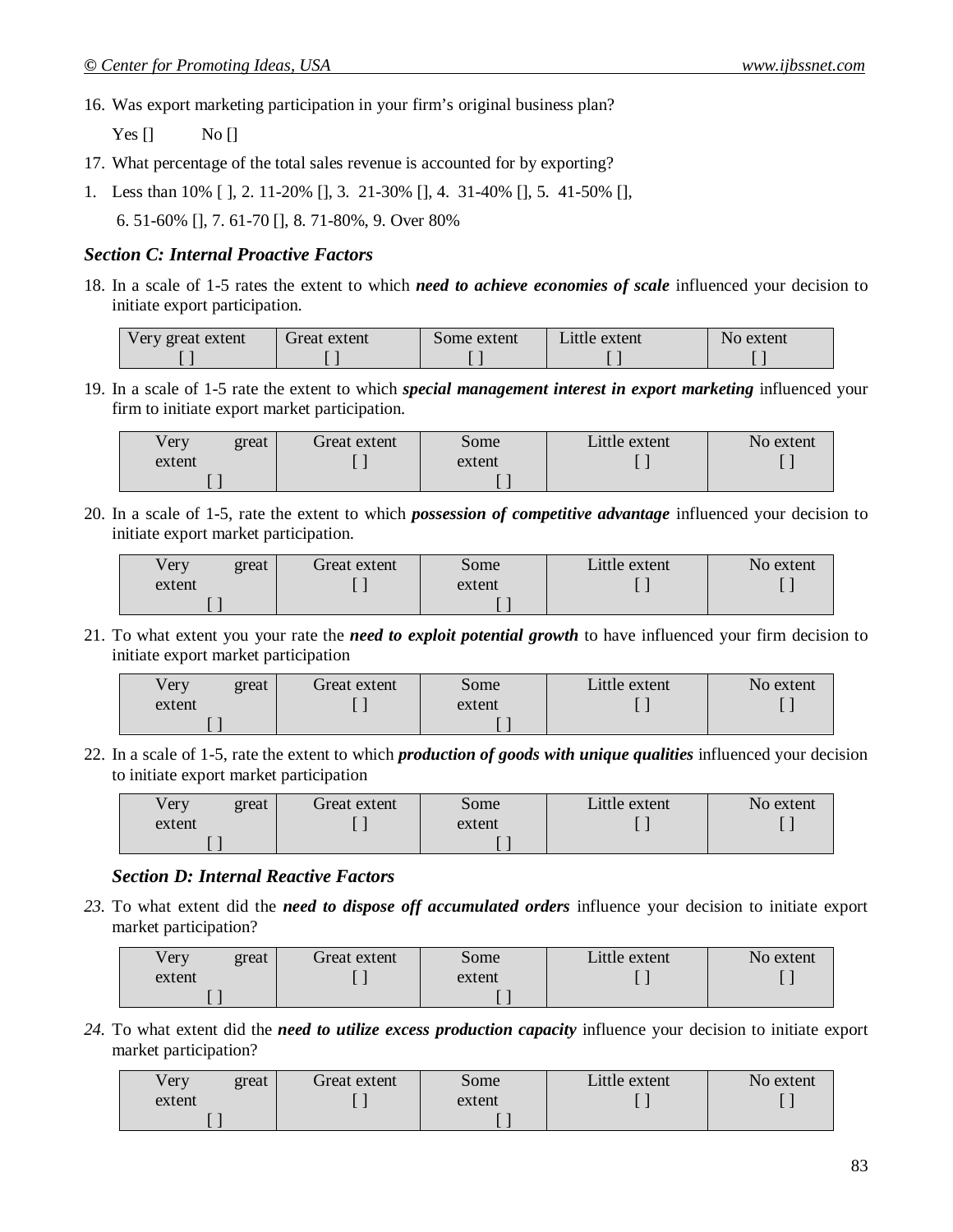16. Was export marketing participation in your firm's original business plan?

Yes  $\begin{bmatrix} 1 \\ 0 \end{bmatrix}$  No  $\begin{bmatrix} 1 \\ 1 \end{bmatrix}$ 

- 17. What percentage of the total sales revenue is accounted for by exporting?
- 1. Less than 10% [ ], 2. 11-20% [], 3. 21-30% [], 4. 31-40% [], 5. 41-50% [], 6. 51-60% [], 7. 61-70 [], 8. 71-80%, 9. Over 80%

#### *Section C: Internal Proactive Factors*

18. In a scale of 1-5 rates the extent to which *need to achieve economies of scale* influenced your decision to initiate export participation.

| Very great extent | Great extent | Some extent | Little extent | No extent |
|-------------------|--------------|-------------|---------------|-----------|
|                   |              |             |               |           |

19. In a scale of 1-5 rate the extent to which *special management interest in export marketing* influenced your firm to initiate export market participation.

| Very   | great | Great extent | Some   | Little extent | No extent |
|--------|-------|--------------|--------|---------------|-----------|
| extent |       |              | extent |               |           |
|        |       |              |        |               |           |

20. In a scale of 1-5, rate the extent to which *possession of competitive advantage* influenced your decision to initiate export market participation.

| very   | great | Great extent | Some   | Little extent | No extent |
|--------|-------|--------------|--------|---------------|-----------|
| extent |       |              | extent |               |           |
|        |       |              |        |               |           |

21. To what extent you your rate the *need to exploit potential growth* to have influenced your firm decision to initiate export market participation

| √ery   | great | Great extent | Some   | Little extent | No extent |
|--------|-------|--------------|--------|---------------|-----------|
| extent |       |              | extent |               |           |
|        |       |              |        |               |           |

22. In a scale of 1-5, rate the extent to which *production of goods with unique qualities* influenced your decision to initiate export market participation

| Very   | great | Great extent | some   | Little extent | No extent |
|--------|-------|--------------|--------|---------------|-----------|
| extent |       |              | extent |               |           |
|        |       |              |        |               |           |

#### *Section D: Internal Reactive Factors*

*23.* To what extent did the *need to dispose off accumulated orders* influence your decision to initiate export market participation?

| Very   | great | Great extent | some   | Little extent | No extent |
|--------|-------|--------------|--------|---------------|-----------|
| extent |       |              | extent |               |           |
|        |       |              |        |               |           |

*24.* To what extent did the *need to utilize excess production capacity* influence your decision to initiate export market participation?

| $\sqrt{\text{e}}$ ry | great | Great extent | Some   | Little extent | No extent |
|----------------------|-------|--------------|--------|---------------|-----------|
| extent               |       |              | extent |               |           |
|                      |       |              |        |               |           |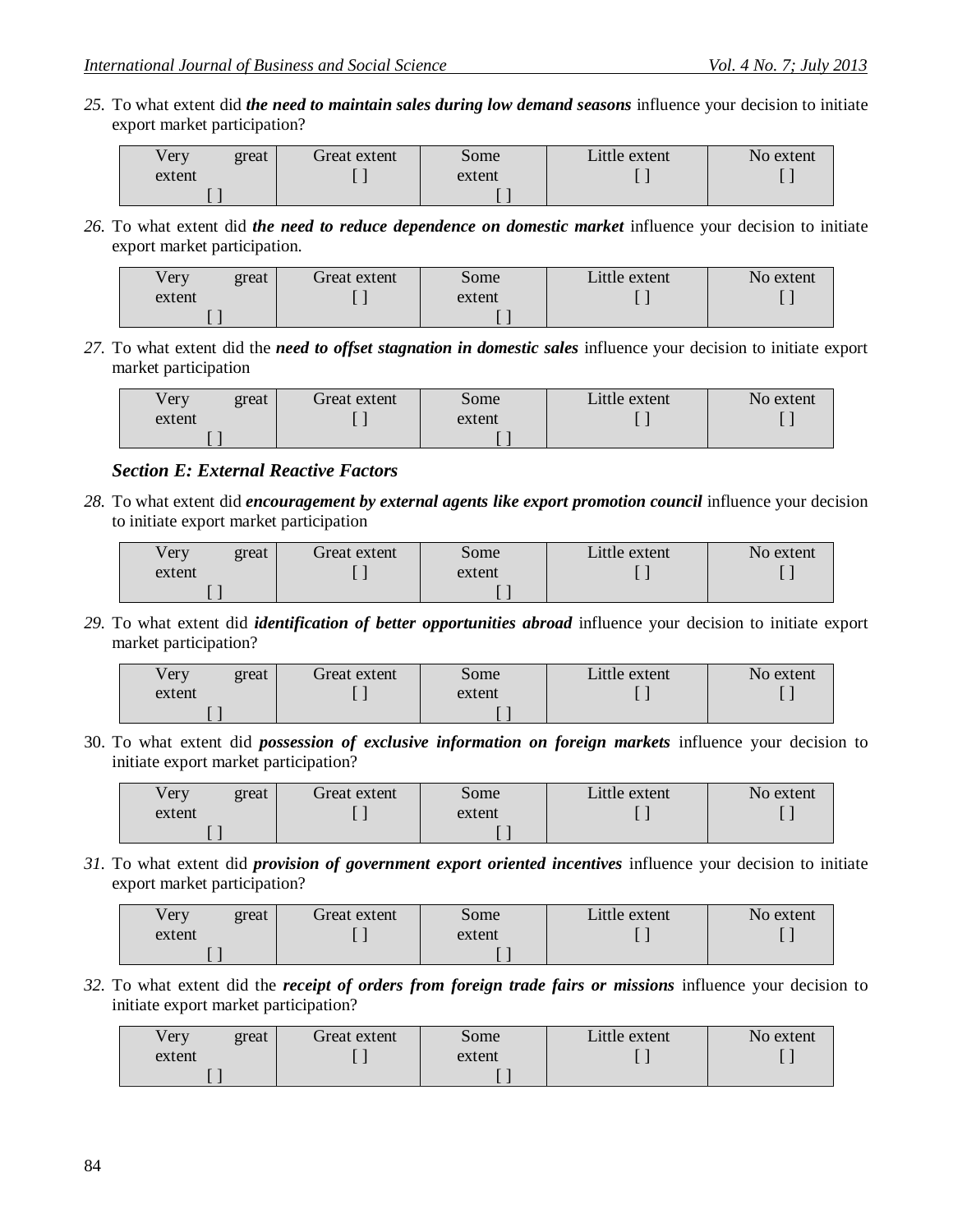*25.* To what extent did *the need to maintain sales during low demand seasons* influence your decision to initiate export market participation?

| Very   | great | Great extent | Some   | Little extent | No extent |
|--------|-------|--------------|--------|---------------|-----------|
| extent |       |              | extent |               |           |
|        |       |              |        |               |           |

*26.* To what extent did *the need to reduce dependence on domestic market* influence your decision to initiate export market participation.

| /ery   | great | Great extent | some   | Little extent | No extent |
|--------|-------|--------------|--------|---------------|-----------|
| extent |       |              | extent |               |           |
|        |       |              |        |               |           |

*27.* To what extent did the *need to offset stagnation in domestic sales* influence your decision to initiate export market participation

| v er y | great | Great extent | Some   | Little extent | No extent |
|--------|-------|--------------|--------|---------------|-----------|
| extent |       |              | extent |               |           |
|        |       |              |        |               |           |

### *Section E: External Reactive Factors*

*28.* To what extent did *encouragement by external agents like export promotion council* influence your decision to initiate export market participation

| Very   | great | Great extent | some   | Little extent | No extent |
|--------|-------|--------------|--------|---------------|-----------|
| extent |       |              | extent |               |           |
|        |       |              |        |               |           |

*29.* To what extent did *identification of better opportunities abroad* influence your decision to initiate export market participation?

| Very   | great | Great extent | Some   | Little extent | No extent |
|--------|-------|--------------|--------|---------------|-----------|
| extent |       |              | extent |               |           |
|        |       |              |        |               |           |

30. To what extent did *possession of exclusive information on foreign markets* influence your decision to initiate export market participation?

| √ery   | great | Great extent | Some   | Little extent | No extent |
|--------|-------|--------------|--------|---------------|-----------|
| extent |       | . .          | extent |               |           |
|        |       |              |        |               |           |

*31.* To what extent did *provision of government export oriented incentives* influence your decision to initiate export market participation?

| $\sqrt{e}ry$ | great | Great extent | some   | Little extent | No extent |
|--------------|-------|--------------|--------|---------------|-----------|
| extent       |       |              | extent |               |           |
|              |       |              |        |               |           |

*32.* To what extent did the *receipt of orders from foreign trade fairs or missions* influence your decision to initiate export market participation?

| Very<br>great | Great extent | Some   | Little extent | No extent |
|---------------|--------------|--------|---------------|-----------|
| extent        |              | extent |               |           |
|               |              |        |               |           |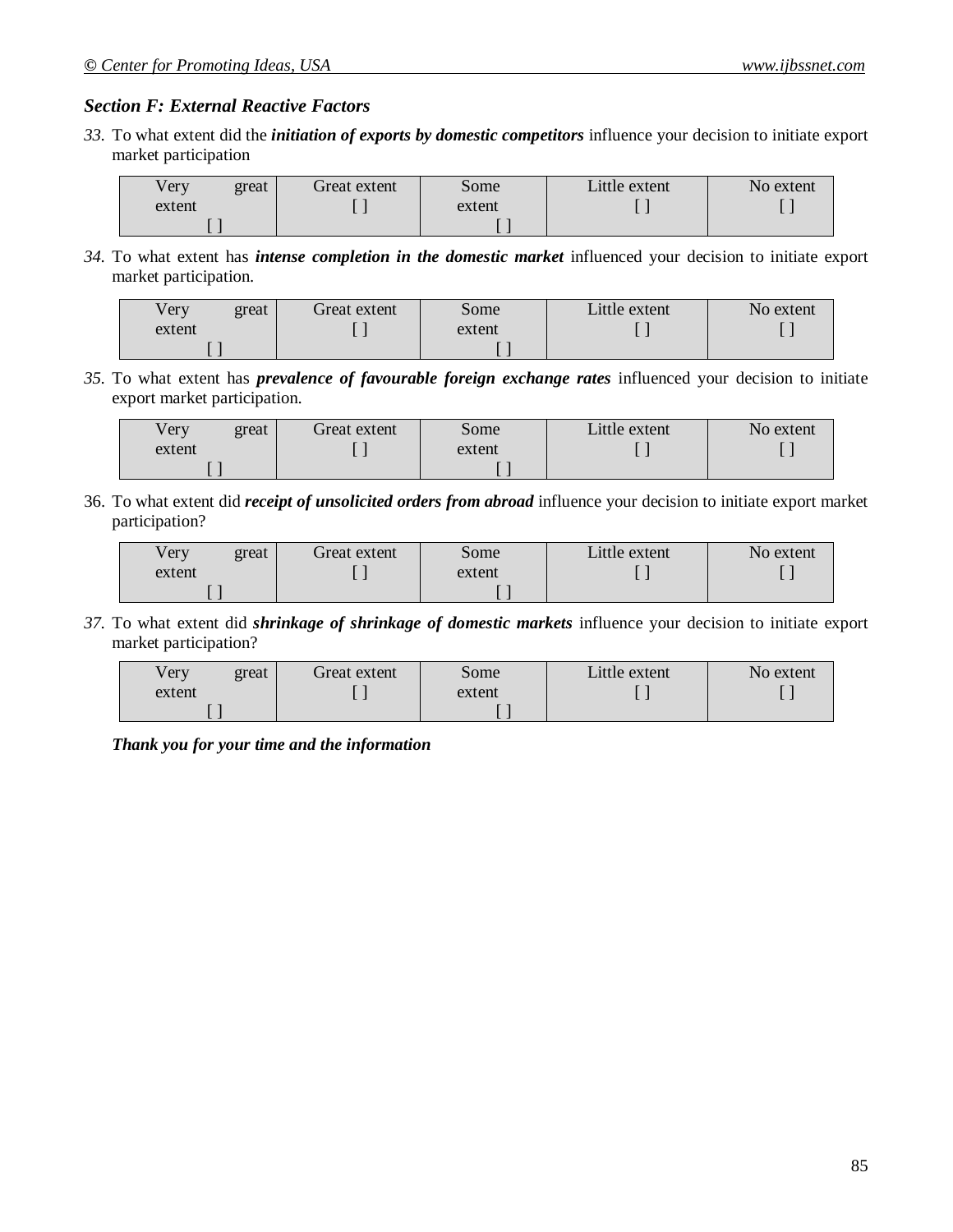#### *Section F: External Reactive Factors*

*33.* To what extent did the *initiation of exports by domestic competitors* influence your decision to initiate export market participation

| / er y | great | Freat extent | some   | Little extent | No extent |
|--------|-------|--------------|--------|---------------|-----------|
| extent |       |              | extent |               |           |
|        |       |              |        |               |           |

*34.* To what extent has *intense completion in the domestic market* influenced your decision to initiate export market participation.

| Very   | great | Great extent | Some   | Little extent | No extent |
|--------|-------|--------------|--------|---------------|-----------|
| extent |       |              | extent |               |           |
|        |       |              |        |               |           |

*35.* To what extent has *prevalence of favourable foreign exchange rates* influenced your decision to initiate export market participation.

| Very   | great | Great extent | Some   | Little extent | No extent |
|--------|-------|--------------|--------|---------------|-----------|
| extent |       |              | extent |               |           |
|        |       |              |        |               |           |

36. To what extent did *receipt of unsolicited orders from abroad* influence your decision to initiate export market participation?

| Very   | great | Great extent | some   | Little extent | No extent |
|--------|-------|--------------|--------|---------------|-----------|
| extent |       |              | extent |               |           |
|        |       |              |        |               |           |

*37.* To what extent did *shrinkage of shrinkage of domestic markets* influence your decision to initiate export market participation?

| Very   | great | Great extent | Some <sup>®</sup> | Little extent | No extent |
|--------|-------|--------------|-------------------|---------------|-----------|
| extent |       |              | extent            |               |           |
|        |       |              |                   |               |           |

*Thank you for your time and the information*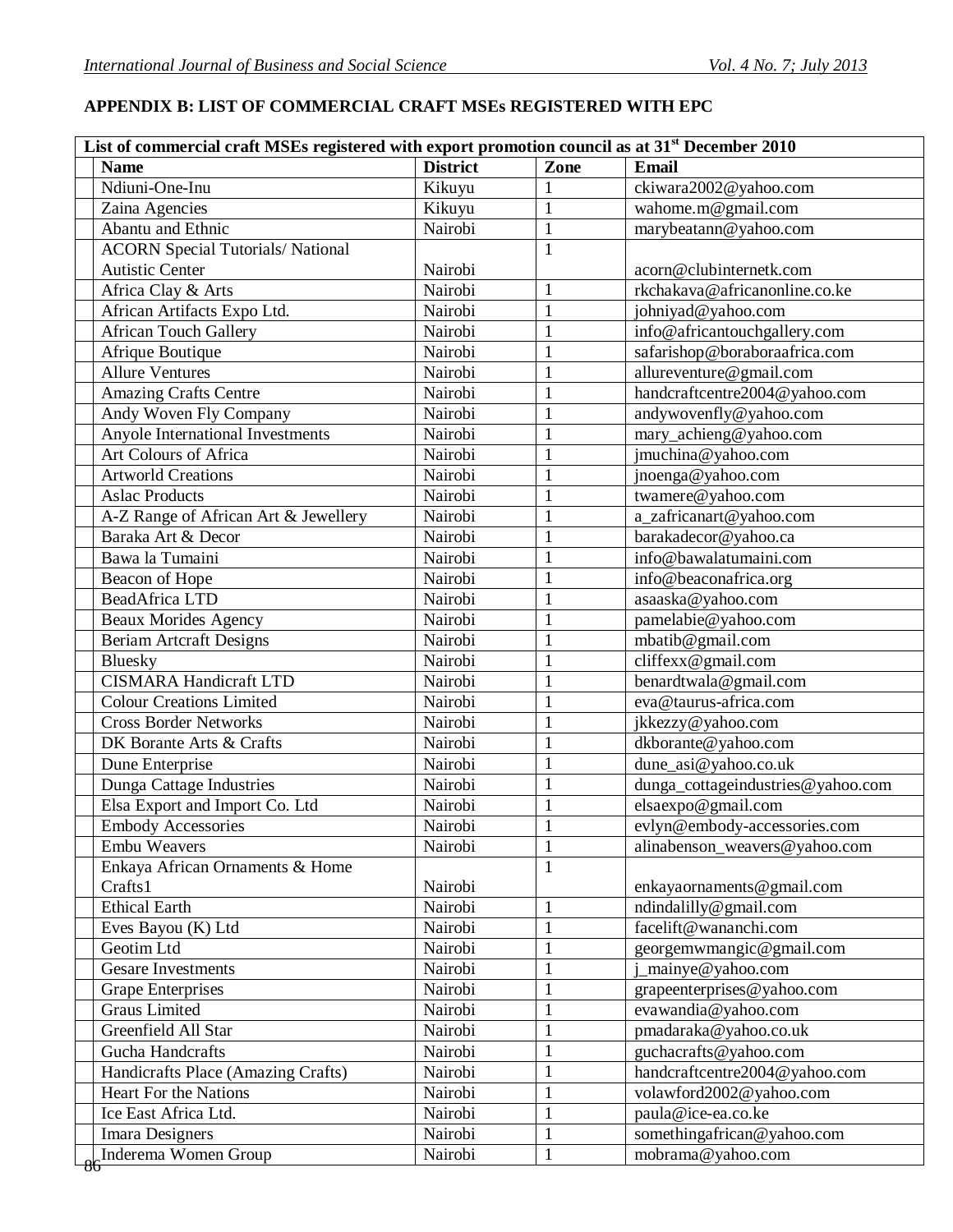# **APPENDIX B: LIST OF COMMERCIAL CRAFT MSEs REGISTERED WITH EPC**

| <b>District</b><br><b>Email</b><br>Zone<br><b>Name</b><br>Ndiuni-One-Inu<br>ckiwara2002@yahoo.com<br>Kikuyu<br>1<br>$\mathbf{1}$<br>wahome.m@gmail.com<br>Zaina Agencies<br>Kikuyu<br>Abantu and Ethnic<br>Nairobi<br>$\mathbf{1}$<br>marybeatann@yahoo.com<br><b>ACORN Special Tutorials/ National</b><br>$\mathbf{1}$<br><b>Autistic Center</b><br>Nairobi<br>acorn@clubinternetk.com<br>rkchakava@africanonline.co.ke<br>Nairobi<br>Africa Clay & Arts<br>1<br>African Artifacts Expo Ltd.<br>Nairobi<br>$\mathbf{1}$<br>johniyad@yahoo.com<br><b>African Touch Gallery</b><br>$\mathbf{1}$<br>info@africantouchgallery.com<br>Nairobi<br>safarishop@boraboraafrica.com<br>Afrique Boutique<br>Nairobi<br>1<br>allureventure@gmail.com<br><b>Allure Ventures</b><br>Nairobi<br>1<br>Nairobi<br>$\mathbf{1}$<br><b>Amazing Crafts Centre</b><br>handcraftcentre2004@yahoo.com<br>Andy Woven Fly Company<br>$\mathbf{1}$<br>Nairobi<br>andywovenfly@yahoo.com<br>Anyole International Investments<br>Nairobi<br>mary_achieng@yahoo.com<br>1<br>Art Colours of Africa<br>Nairobi<br>jmuchina@yahoo.com<br>1<br><b>Artworld Creations</b><br>Nairobi<br>$\mathbf{1}$<br>jnoenga@yahoo.com<br>Nairobi<br>twamere@yahoo.com<br><b>Aslac Products</b><br>$\mathbf{1}$<br>Nairobi<br>$\mathbf{1}$<br>A-Z Range of African Art & Jewellery<br>a_zafricanart@yahoo.com<br>Baraka Art & Decor<br>Nairobi<br>$\mathbf{1}$<br>barakadecor@yahoo.ca<br>info@bawalatumaini.com<br>Bawa la Tumaini<br>Nairobi<br>1<br>Nairobi<br>$\mathbf{1}$<br>info@beaconafrica.org<br>Beacon of Hope<br><b>BeadAfrica LTD</b><br>Nairobi<br>$\mathbf{1}$<br>asaaska@yahoo.com<br>Nairobi<br>pamelabie@yahoo.com<br><b>Beaux Morides Agency</b><br>$\mathbf{1}$<br>Nairobi<br>mbatib@gmail.com<br><b>Beriam Artcraft Designs</b><br>$\mathbf{1}$<br>cliffexx@gmail.com<br>Nairobi<br>$\mathbf{1}$<br>Bluesky<br><b>CISMARA Handicraft LTD</b><br>Nairobi<br>benardtwala@gmail.com<br>$\mathbf{1}$<br>eva@taurus-africa.com<br><b>Colour Creations Limited</b><br>$\mathbf{1}$<br>Nairobi<br><b>Cross Border Networks</b><br>Nairobi<br>$\mathbf{1}$<br>jkkezzy@yahoo.com<br>dkborante@yahoo.com<br>DK Borante Arts & Crafts<br>Nairobi<br>1<br>$\mathbf{1}$<br>dune_asi@yahoo.co.uk<br>Dune Enterprise<br>Nairobi<br>Nairobi<br>dunga_cottageindustries@yahoo.com<br>Dunga Cattage Industries<br>$\mathbf{1}$<br>Elsa Export and Import Co. Ltd<br>Nairobi<br>elsaexpo@gmail.com<br><b>Embody Accessories</b><br>evlyn@embody-accessories.com<br>Nairobi<br><b>Embu Weavers</b><br>Nairobi<br>$\mathbf{1}$<br>alinabenson_weavers@yahoo.com<br>Enkaya African Ornaments & Home<br>1<br>Crafts1<br>Nairobi<br>enkayaornaments@gmail.com<br><b>Ethical Earth</b><br>Nairobi<br>$\mathbf{1}$<br>ndindalilly@gmail.com<br>Nairobi<br>facelift@wananchi.com<br>$\mathbf{1}$<br>Eves Bayou (K) Ltd<br>Geotim Ltd<br>Nairobi<br>$\mathbf{1}$<br>georgemwmangic@gmail.com<br>$\mathbf{1}$<br><b>Gesare Investments</b><br>Nairobi<br>_mainye@yahoo.com<br>Nairobi<br><b>Grape Enterprises</b><br>grapeenterprises@yahoo.com<br>$\mathbf{1}$<br><b>Graus Limited</b><br>Nairobi<br>$\mathbf{1}$<br>evawandia@yahoo.com<br>Greenfield All Star<br>Nairobi<br>$\mathbf{1}$<br>pmadaraka@yahoo.co.uk<br>Nairobi<br>Gucha Handcrafts<br>guchacrafts@yahoo.com<br>1<br>Nairobi<br>$\mathbf{1}$<br>Handicrafts Place (Amazing Crafts)<br>handcraftcentre2004@yahoo.com<br>Heart For the Nations<br>Nairobi<br>$\mathbf{1}$<br>volawford2002@yahoo.com<br>Ice East Africa Ltd.<br>Nairobi<br>$\mathbf{1}$<br>paula@ice-ea.co.ke<br>$\mathbf{1}$<br>Nairobi<br>somethingafrican@yahoo.com<br><b>Imara Designers</b><br>$\mathbf{1}$<br>Inderema Women Group<br>Nairobi<br>mobrama@yahoo.com | List of commercial craft MSEs registered with export promotion council as at 31 <sup>st</sup> December 2010 |  |  |
|--------------------------------------------------------------------------------------------------------------------------------------------------------------------------------------------------------------------------------------------------------------------------------------------------------------------------------------------------------------------------------------------------------------------------------------------------------------------------------------------------------------------------------------------------------------------------------------------------------------------------------------------------------------------------------------------------------------------------------------------------------------------------------------------------------------------------------------------------------------------------------------------------------------------------------------------------------------------------------------------------------------------------------------------------------------------------------------------------------------------------------------------------------------------------------------------------------------------------------------------------------------------------------------------------------------------------------------------------------------------------------------------------------------------------------------------------------------------------------------------------------------------------------------------------------------------------------------------------------------------------------------------------------------------------------------------------------------------------------------------------------------------------------------------------------------------------------------------------------------------------------------------------------------------------------------------------------------------------------------------------------------------------------------------------------------------------------------------------------------------------------------------------------------------------------------------------------------------------------------------------------------------------------------------------------------------------------------------------------------------------------------------------------------------------------------------------------------------------------------------------------------------------------------------------------------------------------------------------------------------------------------------------------------------------------------------------------------------------------------------------------------------------------------------------------------------------------------------------------------------------------------------------------------------------------------------------------------------------------------------------------------------------------------------------------------------------------------------------------------------------------------------------------------------------------------------------------------------------------------------------------------------------------------------------------------------------------------------------------------------------------------------------------------------------------------------------------------------------------------------------------------------------------------------------------------------------------------------------------------------------------------------------------------------------------------------------------------------------------------------------|-------------------------------------------------------------------------------------------------------------|--|--|
|                                                                                                                                                                                                                                                                                                                                                                                                                                                                                                                                                                                                                                                                                                                                                                                                                                                                                                                                                                                                                                                                                                                                                                                                                                                                                                                                                                                                                                                                                                                                                                                                                                                                                                                                                                                                                                                                                                                                                                                                                                                                                                                                                                                                                                                                                                                                                                                                                                                                                                                                                                                                                                                                                                                                                                                                                                                                                                                                                                                                                                                                                                                                                                                                                                                                                                                                                                                                                                                                                                                                                                                                                                                                                                                                                  |                                                                                                             |  |  |
|                                                                                                                                                                                                                                                                                                                                                                                                                                                                                                                                                                                                                                                                                                                                                                                                                                                                                                                                                                                                                                                                                                                                                                                                                                                                                                                                                                                                                                                                                                                                                                                                                                                                                                                                                                                                                                                                                                                                                                                                                                                                                                                                                                                                                                                                                                                                                                                                                                                                                                                                                                                                                                                                                                                                                                                                                                                                                                                                                                                                                                                                                                                                                                                                                                                                                                                                                                                                                                                                                                                                                                                                                                                                                                                                                  |                                                                                                             |  |  |
|                                                                                                                                                                                                                                                                                                                                                                                                                                                                                                                                                                                                                                                                                                                                                                                                                                                                                                                                                                                                                                                                                                                                                                                                                                                                                                                                                                                                                                                                                                                                                                                                                                                                                                                                                                                                                                                                                                                                                                                                                                                                                                                                                                                                                                                                                                                                                                                                                                                                                                                                                                                                                                                                                                                                                                                                                                                                                                                                                                                                                                                                                                                                                                                                                                                                                                                                                                                                                                                                                                                                                                                                                                                                                                                                                  |                                                                                                             |  |  |
|                                                                                                                                                                                                                                                                                                                                                                                                                                                                                                                                                                                                                                                                                                                                                                                                                                                                                                                                                                                                                                                                                                                                                                                                                                                                                                                                                                                                                                                                                                                                                                                                                                                                                                                                                                                                                                                                                                                                                                                                                                                                                                                                                                                                                                                                                                                                                                                                                                                                                                                                                                                                                                                                                                                                                                                                                                                                                                                                                                                                                                                                                                                                                                                                                                                                                                                                                                                                                                                                                                                                                                                                                                                                                                                                                  |                                                                                                             |  |  |
|                                                                                                                                                                                                                                                                                                                                                                                                                                                                                                                                                                                                                                                                                                                                                                                                                                                                                                                                                                                                                                                                                                                                                                                                                                                                                                                                                                                                                                                                                                                                                                                                                                                                                                                                                                                                                                                                                                                                                                                                                                                                                                                                                                                                                                                                                                                                                                                                                                                                                                                                                                                                                                                                                                                                                                                                                                                                                                                                                                                                                                                                                                                                                                                                                                                                                                                                                                                                                                                                                                                                                                                                                                                                                                                                                  |                                                                                                             |  |  |
|                                                                                                                                                                                                                                                                                                                                                                                                                                                                                                                                                                                                                                                                                                                                                                                                                                                                                                                                                                                                                                                                                                                                                                                                                                                                                                                                                                                                                                                                                                                                                                                                                                                                                                                                                                                                                                                                                                                                                                                                                                                                                                                                                                                                                                                                                                                                                                                                                                                                                                                                                                                                                                                                                                                                                                                                                                                                                                                                                                                                                                                                                                                                                                                                                                                                                                                                                                                                                                                                                                                                                                                                                                                                                                                                                  |                                                                                                             |  |  |
|                                                                                                                                                                                                                                                                                                                                                                                                                                                                                                                                                                                                                                                                                                                                                                                                                                                                                                                                                                                                                                                                                                                                                                                                                                                                                                                                                                                                                                                                                                                                                                                                                                                                                                                                                                                                                                                                                                                                                                                                                                                                                                                                                                                                                                                                                                                                                                                                                                                                                                                                                                                                                                                                                                                                                                                                                                                                                                                                                                                                                                                                                                                                                                                                                                                                                                                                                                                                                                                                                                                                                                                                                                                                                                                                                  |                                                                                                             |  |  |
|                                                                                                                                                                                                                                                                                                                                                                                                                                                                                                                                                                                                                                                                                                                                                                                                                                                                                                                                                                                                                                                                                                                                                                                                                                                                                                                                                                                                                                                                                                                                                                                                                                                                                                                                                                                                                                                                                                                                                                                                                                                                                                                                                                                                                                                                                                                                                                                                                                                                                                                                                                                                                                                                                                                                                                                                                                                                                                                                                                                                                                                                                                                                                                                                                                                                                                                                                                                                                                                                                                                                                                                                                                                                                                                                                  |                                                                                                             |  |  |
|                                                                                                                                                                                                                                                                                                                                                                                                                                                                                                                                                                                                                                                                                                                                                                                                                                                                                                                                                                                                                                                                                                                                                                                                                                                                                                                                                                                                                                                                                                                                                                                                                                                                                                                                                                                                                                                                                                                                                                                                                                                                                                                                                                                                                                                                                                                                                                                                                                                                                                                                                                                                                                                                                                                                                                                                                                                                                                                                                                                                                                                                                                                                                                                                                                                                                                                                                                                                                                                                                                                                                                                                                                                                                                                                                  |                                                                                                             |  |  |
|                                                                                                                                                                                                                                                                                                                                                                                                                                                                                                                                                                                                                                                                                                                                                                                                                                                                                                                                                                                                                                                                                                                                                                                                                                                                                                                                                                                                                                                                                                                                                                                                                                                                                                                                                                                                                                                                                                                                                                                                                                                                                                                                                                                                                                                                                                                                                                                                                                                                                                                                                                                                                                                                                                                                                                                                                                                                                                                                                                                                                                                                                                                                                                                                                                                                                                                                                                                                                                                                                                                                                                                                                                                                                                                                                  |                                                                                                             |  |  |
|                                                                                                                                                                                                                                                                                                                                                                                                                                                                                                                                                                                                                                                                                                                                                                                                                                                                                                                                                                                                                                                                                                                                                                                                                                                                                                                                                                                                                                                                                                                                                                                                                                                                                                                                                                                                                                                                                                                                                                                                                                                                                                                                                                                                                                                                                                                                                                                                                                                                                                                                                                                                                                                                                                                                                                                                                                                                                                                                                                                                                                                                                                                                                                                                                                                                                                                                                                                                                                                                                                                                                                                                                                                                                                                                                  |                                                                                                             |  |  |
|                                                                                                                                                                                                                                                                                                                                                                                                                                                                                                                                                                                                                                                                                                                                                                                                                                                                                                                                                                                                                                                                                                                                                                                                                                                                                                                                                                                                                                                                                                                                                                                                                                                                                                                                                                                                                                                                                                                                                                                                                                                                                                                                                                                                                                                                                                                                                                                                                                                                                                                                                                                                                                                                                                                                                                                                                                                                                                                                                                                                                                                                                                                                                                                                                                                                                                                                                                                                                                                                                                                                                                                                                                                                                                                                                  |                                                                                                             |  |  |
|                                                                                                                                                                                                                                                                                                                                                                                                                                                                                                                                                                                                                                                                                                                                                                                                                                                                                                                                                                                                                                                                                                                                                                                                                                                                                                                                                                                                                                                                                                                                                                                                                                                                                                                                                                                                                                                                                                                                                                                                                                                                                                                                                                                                                                                                                                                                                                                                                                                                                                                                                                                                                                                                                                                                                                                                                                                                                                                                                                                                                                                                                                                                                                                                                                                                                                                                                                                                                                                                                                                                                                                                                                                                                                                                                  |                                                                                                             |  |  |
|                                                                                                                                                                                                                                                                                                                                                                                                                                                                                                                                                                                                                                                                                                                                                                                                                                                                                                                                                                                                                                                                                                                                                                                                                                                                                                                                                                                                                                                                                                                                                                                                                                                                                                                                                                                                                                                                                                                                                                                                                                                                                                                                                                                                                                                                                                                                                                                                                                                                                                                                                                                                                                                                                                                                                                                                                                                                                                                                                                                                                                                                                                                                                                                                                                                                                                                                                                                                                                                                                                                                                                                                                                                                                                                                                  |                                                                                                             |  |  |
|                                                                                                                                                                                                                                                                                                                                                                                                                                                                                                                                                                                                                                                                                                                                                                                                                                                                                                                                                                                                                                                                                                                                                                                                                                                                                                                                                                                                                                                                                                                                                                                                                                                                                                                                                                                                                                                                                                                                                                                                                                                                                                                                                                                                                                                                                                                                                                                                                                                                                                                                                                                                                                                                                                                                                                                                                                                                                                                                                                                                                                                                                                                                                                                                                                                                                                                                                                                                                                                                                                                                                                                                                                                                                                                                                  |                                                                                                             |  |  |
|                                                                                                                                                                                                                                                                                                                                                                                                                                                                                                                                                                                                                                                                                                                                                                                                                                                                                                                                                                                                                                                                                                                                                                                                                                                                                                                                                                                                                                                                                                                                                                                                                                                                                                                                                                                                                                                                                                                                                                                                                                                                                                                                                                                                                                                                                                                                                                                                                                                                                                                                                                                                                                                                                                                                                                                                                                                                                                                                                                                                                                                                                                                                                                                                                                                                                                                                                                                                                                                                                                                                                                                                                                                                                                                                                  |                                                                                                             |  |  |
|                                                                                                                                                                                                                                                                                                                                                                                                                                                                                                                                                                                                                                                                                                                                                                                                                                                                                                                                                                                                                                                                                                                                                                                                                                                                                                                                                                                                                                                                                                                                                                                                                                                                                                                                                                                                                                                                                                                                                                                                                                                                                                                                                                                                                                                                                                                                                                                                                                                                                                                                                                                                                                                                                                                                                                                                                                                                                                                                                                                                                                                                                                                                                                                                                                                                                                                                                                                                                                                                                                                                                                                                                                                                                                                                                  |                                                                                                             |  |  |
|                                                                                                                                                                                                                                                                                                                                                                                                                                                                                                                                                                                                                                                                                                                                                                                                                                                                                                                                                                                                                                                                                                                                                                                                                                                                                                                                                                                                                                                                                                                                                                                                                                                                                                                                                                                                                                                                                                                                                                                                                                                                                                                                                                                                                                                                                                                                                                                                                                                                                                                                                                                                                                                                                                                                                                                                                                                                                                                                                                                                                                                                                                                                                                                                                                                                                                                                                                                                                                                                                                                                                                                                                                                                                                                                                  |                                                                                                             |  |  |
|                                                                                                                                                                                                                                                                                                                                                                                                                                                                                                                                                                                                                                                                                                                                                                                                                                                                                                                                                                                                                                                                                                                                                                                                                                                                                                                                                                                                                                                                                                                                                                                                                                                                                                                                                                                                                                                                                                                                                                                                                                                                                                                                                                                                                                                                                                                                                                                                                                                                                                                                                                                                                                                                                                                                                                                                                                                                                                                                                                                                                                                                                                                                                                                                                                                                                                                                                                                                                                                                                                                                                                                                                                                                                                                                                  |                                                                                                             |  |  |
|                                                                                                                                                                                                                                                                                                                                                                                                                                                                                                                                                                                                                                                                                                                                                                                                                                                                                                                                                                                                                                                                                                                                                                                                                                                                                                                                                                                                                                                                                                                                                                                                                                                                                                                                                                                                                                                                                                                                                                                                                                                                                                                                                                                                                                                                                                                                                                                                                                                                                                                                                                                                                                                                                                                                                                                                                                                                                                                                                                                                                                                                                                                                                                                                                                                                                                                                                                                                                                                                                                                                                                                                                                                                                                                                                  |                                                                                                             |  |  |
|                                                                                                                                                                                                                                                                                                                                                                                                                                                                                                                                                                                                                                                                                                                                                                                                                                                                                                                                                                                                                                                                                                                                                                                                                                                                                                                                                                                                                                                                                                                                                                                                                                                                                                                                                                                                                                                                                                                                                                                                                                                                                                                                                                                                                                                                                                                                                                                                                                                                                                                                                                                                                                                                                                                                                                                                                                                                                                                                                                                                                                                                                                                                                                                                                                                                                                                                                                                                                                                                                                                                                                                                                                                                                                                                                  |                                                                                                             |  |  |
|                                                                                                                                                                                                                                                                                                                                                                                                                                                                                                                                                                                                                                                                                                                                                                                                                                                                                                                                                                                                                                                                                                                                                                                                                                                                                                                                                                                                                                                                                                                                                                                                                                                                                                                                                                                                                                                                                                                                                                                                                                                                                                                                                                                                                                                                                                                                                                                                                                                                                                                                                                                                                                                                                                                                                                                                                                                                                                                                                                                                                                                                                                                                                                                                                                                                                                                                                                                                                                                                                                                                                                                                                                                                                                                                                  |                                                                                                             |  |  |
|                                                                                                                                                                                                                                                                                                                                                                                                                                                                                                                                                                                                                                                                                                                                                                                                                                                                                                                                                                                                                                                                                                                                                                                                                                                                                                                                                                                                                                                                                                                                                                                                                                                                                                                                                                                                                                                                                                                                                                                                                                                                                                                                                                                                                                                                                                                                                                                                                                                                                                                                                                                                                                                                                                                                                                                                                                                                                                                                                                                                                                                                                                                                                                                                                                                                                                                                                                                                                                                                                                                                                                                                                                                                                                                                                  |                                                                                                             |  |  |
|                                                                                                                                                                                                                                                                                                                                                                                                                                                                                                                                                                                                                                                                                                                                                                                                                                                                                                                                                                                                                                                                                                                                                                                                                                                                                                                                                                                                                                                                                                                                                                                                                                                                                                                                                                                                                                                                                                                                                                                                                                                                                                                                                                                                                                                                                                                                                                                                                                                                                                                                                                                                                                                                                                                                                                                                                                                                                                                                                                                                                                                                                                                                                                                                                                                                                                                                                                                                                                                                                                                                                                                                                                                                                                                                                  |                                                                                                             |  |  |
|                                                                                                                                                                                                                                                                                                                                                                                                                                                                                                                                                                                                                                                                                                                                                                                                                                                                                                                                                                                                                                                                                                                                                                                                                                                                                                                                                                                                                                                                                                                                                                                                                                                                                                                                                                                                                                                                                                                                                                                                                                                                                                                                                                                                                                                                                                                                                                                                                                                                                                                                                                                                                                                                                                                                                                                                                                                                                                                                                                                                                                                                                                                                                                                                                                                                                                                                                                                                                                                                                                                                                                                                                                                                                                                                                  |                                                                                                             |  |  |
|                                                                                                                                                                                                                                                                                                                                                                                                                                                                                                                                                                                                                                                                                                                                                                                                                                                                                                                                                                                                                                                                                                                                                                                                                                                                                                                                                                                                                                                                                                                                                                                                                                                                                                                                                                                                                                                                                                                                                                                                                                                                                                                                                                                                                                                                                                                                                                                                                                                                                                                                                                                                                                                                                                                                                                                                                                                                                                                                                                                                                                                                                                                                                                                                                                                                                                                                                                                                                                                                                                                                                                                                                                                                                                                                                  |                                                                                                             |  |  |
|                                                                                                                                                                                                                                                                                                                                                                                                                                                                                                                                                                                                                                                                                                                                                                                                                                                                                                                                                                                                                                                                                                                                                                                                                                                                                                                                                                                                                                                                                                                                                                                                                                                                                                                                                                                                                                                                                                                                                                                                                                                                                                                                                                                                                                                                                                                                                                                                                                                                                                                                                                                                                                                                                                                                                                                                                                                                                                                                                                                                                                                                                                                                                                                                                                                                                                                                                                                                                                                                                                                                                                                                                                                                                                                                                  |                                                                                                             |  |  |
|                                                                                                                                                                                                                                                                                                                                                                                                                                                                                                                                                                                                                                                                                                                                                                                                                                                                                                                                                                                                                                                                                                                                                                                                                                                                                                                                                                                                                                                                                                                                                                                                                                                                                                                                                                                                                                                                                                                                                                                                                                                                                                                                                                                                                                                                                                                                                                                                                                                                                                                                                                                                                                                                                                                                                                                                                                                                                                                                                                                                                                                                                                                                                                                                                                                                                                                                                                                                                                                                                                                                                                                                                                                                                                                                                  |                                                                                                             |  |  |
|                                                                                                                                                                                                                                                                                                                                                                                                                                                                                                                                                                                                                                                                                                                                                                                                                                                                                                                                                                                                                                                                                                                                                                                                                                                                                                                                                                                                                                                                                                                                                                                                                                                                                                                                                                                                                                                                                                                                                                                                                                                                                                                                                                                                                                                                                                                                                                                                                                                                                                                                                                                                                                                                                                                                                                                                                                                                                                                                                                                                                                                                                                                                                                                                                                                                                                                                                                                                                                                                                                                                                                                                                                                                                                                                                  |                                                                                                             |  |  |
|                                                                                                                                                                                                                                                                                                                                                                                                                                                                                                                                                                                                                                                                                                                                                                                                                                                                                                                                                                                                                                                                                                                                                                                                                                                                                                                                                                                                                                                                                                                                                                                                                                                                                                                                                                                                                                                                                                                                                                                                                                                                                                                                                                                                                                                                                                                                                                                                                                                                                                                                                                                                                                                                                                                                                                                                                                                                                                                                                                                                                                                                                                                                                                                                                                                                                                                                                                                                                                                                                                                                                                                                                                                                                                                                                  |                                                                                                             |  |  |
|                                                                                                                                                                                                                                                                                                                                                                                                                                                                                                                                                                                                                                                                                                                                                                                                                                                                                                                                                                                                                                                                                                                                                                                                                                                                                                                                                                                                                                                                                                                                                                                                                                                                                                                                                                                                                                                                                                                                                                                                                                                                                                                                                                                                                                                                                                                                                                                                                                                                                                                                                                                                                                                                                                                                                                                                                                                                                                                                                                                                                                                                                                                                                                                                                                                                                                                                                                                                                                                                                                                                                                                                                                                                                                                                                  |                                                                                                             |  |  |
|                                                                                                                                                                                                                                                                                                                                                                                                                                                                                                                                                                                                                                                                                                                                                                                                                                                                                                                                                                                                                                                                                                                                                                                                                                                                                                                                                                                                                                                                                                                                                                                                                                                                                                                                                                                                                                                                                                                                                                                                                                                                                                                                                                                                                                                                                                                                                                                                                                                                                                                                                                                                                                                                                                                                                                                                                                                                                                                                                                                                                                                                                                                                                                                                                                                                                                                                                                                                                                                                                                                                                                                                                                                                                                                                                  |                                                                                                             |  |  |
|                                                                                                                                                                                                                                                                                                                                                                                                                                                                                                                                                                                                                                                                                                                                                                                                                                                                                                                                                                                                                                                                                                                                                                                                                                                                                                                                                                                                                                                                                                                                                                                                                                                                                                                                                                                                                                                                                                                                                                                                                                                                                                                                                                                                                                                                                                                                                                                                                                                                                                                                                                                                                                                                                                                                                                                                                                                                                                                                                                                                                                                                                                                                                                                                                                                                                                                                                                                                                                                                                                                                                                                                                                                                                                                                                  |                                                                                                             |  |  |
|                                                                                                                                                                                                                                                                                                                                                                                                                                                                                                                                                                                                                                                                                                                                                                                                                                                                                                                                                                                                                                                                                                                                                                                                                                                                                                                                                                                                                                                                                                                                                                                                                                                                                                                                                                                                                                                                                                                                                                                                                                                                                                                                                                                                                                                                                                                                                                                                                                                                                                                                                                                                                                                                                                                                                                                                                                                                                                                                                                                                                                                                                                                                                                                                                                                                                                                                                                                                                                                                                                                                                                                                                                                                                                                                                  |                                                                                                             |  |  |
|                                                                                                                                                                                                                                                                                                                                                                                                                                                                                                                                                                                                                                                                                                                                                                                                                                                                                                                                                                                                                                                                                                                                                                                                                                                                                                                                                                                                                                                                                                                                                                                                                                                                                                                                                                                                                                                                                                                                                                                                                                                                                                                                                                                                                                                                                                                                                                                                                                                                                                                                                                                                                                                                                                                                                                                                                                                                                                                                                                                                                                                                                                                                                                                                                                                                                                                                                                                                                                                                                                                                                                                                                                                                                                                                                  |                                                                                                             |  |  |
|                                                                                                                                                                                                                                                                                                                                                                                                                                                                                                                                                                                                                                                                                                                                                                                                                                                                                                                                                                                                                                                                                                                                                                                                                                                                                                                                                                                                                                                                                                                                                                                                                                                                                                                                                                                                                                                                                                                                                                                                                                                                                                                                                                                                                                                                                                                                                                                                                                                                                                                                                                                                                                                                                                                                                                                                                                                                                                                                                                                                                                                                                                                                                                                                                                                                                                                                                                                                                                                                                                                                                                                                                                                                                                                                                  |                                                                                                             |  |  |
|                                                                                                                                                                                                                                                                                                                                                                                                                                                                                                                                                                                                                                                                                                                                                                                                                                                                                                                                                                                                                                                                                                                                                                                                                                                                                                                                                                                                                                                                                                                                                                                                                                                                                                                                                                                                                                                                                                                                                                                                                                                                                                                                                                                                                                                                                                                                                                                                                                                                                                                                                                                                                                                                                                                                                                                                                                                                                                                                                                                                                                                                                                                                                                                                                                                                                                                                                                                                                                                                                                                                                                                                                                                                                                                                                  |                                                                                                             |  |  |
|                                                                                                                                                                                                                                                                                                                                                                                                                                                                                                                                                                                                                                                                                                                                                                                                                                                                                                                                                                                                                                                                                                                                                                                                                                                                                                                                                                                                                                                                                                                                                                                                                                                                                                                                                                                                                                                                                                                                                                                                                                                                                                                                                                                                                                                                                                                                                                                                                                                                                                                                                                                                                                                                                                                                                                                                                                                                                                                                                                                                                                                                                                                                                                                                                                                                                                                                                                                                                                                                                                                                                                                                                                                                                                                                                  |                                                                                                             |  |  |
|                                                                                                                                                                                                                                                                                                                                                                                                                                                                                                                                                                                                                                                                                                                                                                                                                                                                                                                                                                                                                                                                                                                                                                                                                                                                                                                                                                                                                                                                                                                                                                                                                                                                                                                                                                                                                                                                                                                                                                                                                                                                                                                                                                                                                                                                                                                                                                                                                                                                                                                                                                                                                                                                                                                                                                                                                                                                                                                                                                                                                                                                                                                                                                                                                                                                                                                                                                                                                                                                                                                                                                                                                                                                                                                                                  |                                                                                                             |  |  |
|                                                                                                                                                                                                                                                                                                                                                                                                                                                                                                                                                                                                                                                                                                                                                                                                                                                                                                                                                                                                                                                                                                                                                                                                                                                                                                                                                                                                                                                                                                                                                                                                                                                                                                                                                                                                                                                                                                                                                                                                                                                                                                                                                                                                                                                                                                                                                                                                                                                                                                                                                                                                                                                                                                                                                                                                                                                                                                                                                                                                                                                                                                                                                                                                                                                                                                                                                                                                                                                                                                                                                                                                                                                                                                                                                  |                                                                                                             |  |  |
|                                                                                                                                                                                                                                                                                                                                                                                                                                                                                                                                                                                                                                                                                                                                                                                                                                                                                                                                                                                                                                                                                                                                                                                                                                                                                                                                                                                                                                                                                                                                                                                                                                                                                                                                                                                                                                                                                                                                                                                                                                                                                                                                                                                                                                                                                                                                                                                                                                                                                                                                                                                                                                                                                                                                                                                                                                                                                                                                                                                                                                                                                                                                                                                                                                                                                                                                                                                                                                                                                                                                                                                                                                                                                                                                                  |                                                                                                             |  |  |
|                                                                                                                                                                                                                                                                                                                                                                                                                                                                                                                                                                                                                                                                                                                                                                                                                                                                                                                                                                                                                                                                                                                                                                                                                                                                                                                                                                                                                                                                                                                                                                                                                                                                                                                                                                                                                                                                                                                                                                                                                                                                                                                                                                                                                                                                                                                                                                                                                                                                                                                                                                                                                                                                                                                                                                                                                                                                                                                                                                                                                                                                                                                                                                                                                                                                                                                                                                                                                                                                                                                                                                                                                                                                                                                                                  |                                                                                                             |  |  |
|                                                                                                                                                                                                                                                                                                                                                                                                                                                                                                                                                                                                                                                                                                                                                                                                                                                                                                                                                                                                                                                                                                                                                                                                                                                                                                                                                                                                                                                                                                                                                                                                                                                                                                                                                                                                                                                                                                                                                                                                                                                                                                                                                                                                                                                                                                                                                                                                                                                                                                                                                                                                                                                                                                                                                                                                                                                                                                                                                                                                                                                                                                                                                                                                                                                                                                                                                                                                                                                                                                                                                                                                                                                                                                                                                  |                                                                                                             |  |  |
|                                                                                                                                                                                                                                                                                                                                                                                                                                                                                                                                                                                                                                                                                                                                                                                                                                                                                                                                                                                                                                                                                                                                                                                                                                                                                                                                                                                                                                                                                                                                                                                                                                                                                                                                                                                                                                                                                                                                                                                                                                                                                                                                                                                                                                                                                                                                                                                                                                                                                                                                                                                                                                                                                                                                                                                                                                                                                                                                                                                                                                                                                                                                                                                                                                                                                                                                                                                                                                                                                                                                                                                                                                                                                                                                                  |                                                                                                             |  |  |
|                                                                                                                                                                                                                                                                                                                                                                                                                                                                                                                                                                                                                                                                                                                                                                                                                                                                                                                                                                                                                                                                                                                                                                                                                                                                                                                                                                                                                                                                                                                                                                                                                                                                                                                                                                                                                                                                                                                                                                                                                                                                                                                                                                                                                                                                                                                                                                                                                                                                                                                                                                                                                                                                                                                                                                                                                                                                                                                                                                                                                                                                                                                                                                                                                                                                                                                                                                                                                                                                                                                                                                                                                                                                                                                                                  |                                                                                                             |  |  |
|                                                                                                                                                                                                                                                                                                                                                                                                                                                                                                                                                                                                                                                                                                                                                                                                                                                                                                                                                                                                                                                                                                                                                                                                                                                                                                                                                                                                                                                                                                                                                                                                                                                                                                                                                                                                                                                                                                                                                                                                                                                                                                                                                                                                                                                                                                                                                                                                                                                                                                                                                                                                                                                                                                                                                                                                                                                                                                                                                                                                                                                                                                                                                                                                                                                                                                                                                                                                                                                                                                                                                                                                                                                                                                                                                  |                                                                                                             |  |  |
|                                                                                                                                                                                                                                                                                                                                                                                                                                                                                                                                                                                                                                                                                                                                                                                                                                                                                                                                                                                                                                                                                                                                                                                                                                                                                                                                                                                                                                                                                                                                                                                                                                                                                                                                                                                                                                                                                                                                                                                                                                                                                                                                                                                                                                                                                                                                                                                                                                                                                                                                                                                                                                                                                                                                                                                                                                                                                                                                                                                                                                                                                                                                                                                                                                                                                                                                                                                                                                                                                                                                                                                                                                                                                                                                                  |                                                                                                             |  |  |
|                                                                                                                                                                                                                                                                                                                                                                                                                                                                                                                                                                                                                                                                                                                                                                                                                                                                                                                                                                                                                                                                                                                                                                                                                                                                                                                                                                                                                                                                                                                                                                                                                                                                                                                                                                                                                                                                                                                                                                                                                                                                                                                                                                                                                                                                                                                                                                                                                                                                                                                                                                                                                                                                                                                                                                                                                                                                                                                                                                                                                                                                                                                                                                                                                                                                                                                                                                                                                                                                                                                                                                                                                                                                                                                                                  |                                                                                                             |  |  |
|                                                                                                                                                                                                                                                                                                                                                                                                                                                                                                                                                                                                                                                                                                                                                                                                                                                                                                                                                                                                                                                                                                                                                                                                                                                                                                                                                                                                                                                                                                                                                                                                                                                                                                                                                                                                                                                                                                                                                                                                                                                                                                                                                                                                                                                                                                                                                                                                                                                                                                                                                                                                                                                                                                                                                                                                                                                                                                                                                                                                                                                                                                                                                                                                                                                                                                                                                                                                                                                                                                                                                                                                                                                                                                                                                  |                                                                                                             |  |  |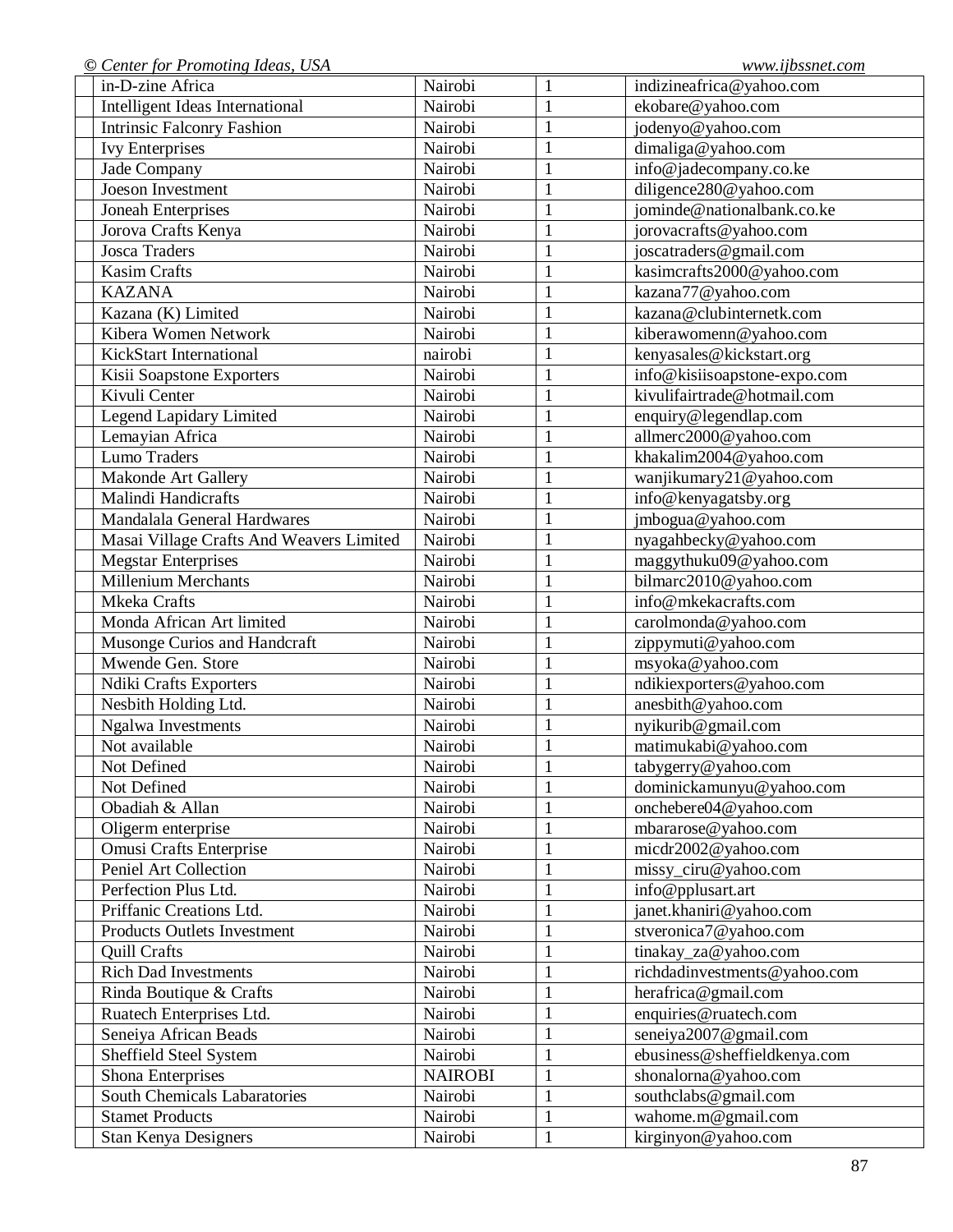| Nairobi        | $\mathbf{1}$ | indizineafrica@yahoo.com     |
|----------------|--------------|------------------------------|
| Nairobi        | $\mathbf{1}$ | ekobare@yahoo.com            |
| Nairobi        | $\mathbf{1}$ | jodenyo@yahoo.com            |
| Nairobi        | $\mathbf{1}$ | dimaliga@yahoo.com           |
| Nairobi        | $\mathbf{1}$ | info@jadecompany.co.ke       |
| Nairobi        | $\mathbf{1}$ | diligence280@yahoo.com       |
| Nairobi        | $\mathbf{1}$ | jominde@nationalbank.co.ke   |
| Nairobi        | $\mathbf{1}$ | jorovacrafts@yahoo.com       |
| Nairobi        | $\mathbf{1}$ | joscatraders@gmail.com       |
| Nairobi        | $\mathbf{1}$ | kasimcrafts2000@yahoo.com    |
| Nairobi        | $\mathbf{1}$ | kazana77@yahoo.com           |
| Nairobi        | $\mathbf{1}$ | kazana@clubinternetk.com     |
| Nairobi        | $\mathbf{1}$ | kiberawomenn@yahoo.com       |
| nairobi        | $\mathbf{1}$ | kenyasales@kickstart.org     |
| Nairobi        | $\mathbf{1}$ | info@kisiisoapstone-expo.com |
| Nairobi        | $\mathbf{1}$ | kivulifairtrade@hotmail.com  |
| Nairobi        | $\mathbf{1}$ | enquiry@legendlap.com        |
| Nairobi        | $\mathbf{1}$ | allmerc2000@yahoo.com        |
| Nairobi        | $\mathbf{1}$ | khakalim2004@yahoo.com       |
| Nairobi        | $\mathbf{1}$ | wanjikumary21@yahoo.com      |
| Nairobi        | $\mathbf{1}$ | info@kenyagatsby.org         |
| Nairobi        | $\mathbf{1}$ | jmbogua@yahoo.com            |
| Nairobi        | $\mathbf{1}$ | nyagahbecky@yahoo.com        |
| Nairobi        | $\mathbf{1}$ | maggythuku09@yahoo.com       |
| Nairobi        | $\mathbf{1}$ | bilmarc2010@yahoo.com        |
| Nairobi        | $\mathbf{1}$ | info@mkekacrafts.com         |
| Nairobi        | $\mathbf{1}$ | carolmonda@yahoo.com         |
| Nairobi        | $\mathbf{1}$ | zippymuti@yahoo.com          |
| Nairobi        | $\mathbf{1}$ | msyoka@yahoo.com             |
| Nairobi        | $\mathbf{1}$ | ndikiexporters@yahoo.com     |
| Nairobi        | $\mathbf{1}$ | anesbith@yahoo.com           |
| Nairobi        | $\mathbf{1}$ | nyikurib@gmail.com           |
| Nairobi        | $\mathbf{1}$ | matimukabi@yahoo.com         |
| Nairobi        | $\mathbf{1}$ | tabygerry@yahoo.com          |
| Nairobi        | $\mathbf{1}$ | dominickamunyu@yahoo.com     |
| Nairobi        | 1            | onchebere04@yahoo.com        |
| Nairobi        | $\mathbf{1}$ | mbararose@yahoo.com          |
| Nairobi        | $\mathbf{1}$ | micdr2002@yahoo.com          |
| Nairobi        | $\mathbf{1}$ | missy_ciru@yahoo.com         |
| Nairobi        | $\mathbf{1}$ | info@pplusart.art            |
| Nairobi        | $\mathbf{1}$ | janet.khaniri@yahoo.com      |
| Nairobi        | $\mathbf{1}$ | stveronica7@yahoo.com        |
| Nairobi        | $\mathbf{1}$ | tinakay_za@yahoo.com         |
| Nairobi        | $\mathbf{1}$ | richdadinvestments@yahoo.com |
| Nairobi        | $\mathbf{1}$ | herafrica@gmail.com          |
| Nairobi        | $\mathbf{1}$ | enquiries@ruatech.com        |
| Nairobi        | $\mathbf{1}$ | seneiya2007@gmail.com        |
| Nairobi        | $\mathbf{1}$ | ebusiness@sheffieldkenya.com |
| <b>NAIROBI</b> | $\mathbf{1}$ | shonalorna@yahoo.com         |
| Nairobi        | $\mathbf{1}$ | southclabs@gmail.com         |
| Nairobi        | $\mathbf{1}$ | wahome.m@gmail.com           |
| Nairobi        | $\mathbf{1}$ | kirginyon@yahoo.com          |
|                |              |                              |